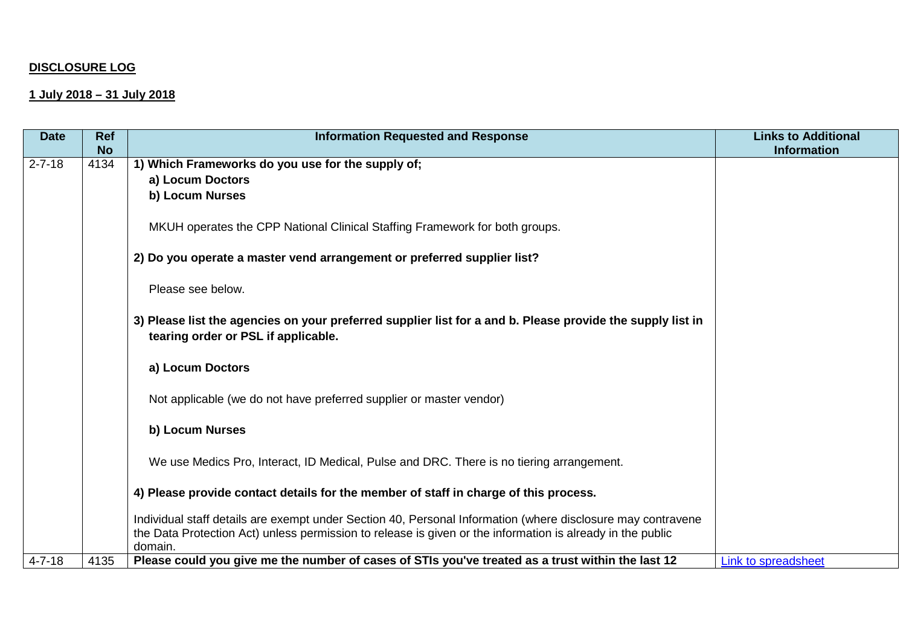## **DISCLOSURE LOG**

## **1 July 2018 – 31 July 2018**

| <b>Date</b>  | <b>Ref</b><br><b>No</b> | <b>Information Requested and Response</b>                                                                                                         | <b>Links to Additional</b><br><b>Information</b> |
|--------------|-------------------------|---------------------------------------------------------------------------------------------------------------------------------------------------|--------------------------------------------------|
| $2 - 7 - 18$ | 4134                    | 1) Which Frameworks do you use for the supply of;                                                                                                 |                                                  |
|              |                         | a) Locum Doctors                                                                                                                                  |                                                  |
|              |                         | b) Locum Nurses                                                                                                                                   |                                                  |
|              |                         | MKUH operates the CPP National Clinical Staffing Framework for both groups.                                                                       |                                                  |
|              |                         | 2) Do you operate a master vend arrangement or preferred supplier list?                                                                           |                                                  |
|              |                         | Please see below.                                                                                                                                 |                                                  |
|              |                         | 3) Please list the agencies on your preferred supplier list for a and b. Please provide the supply list in<br>tearing order or PSL if applicable. |                                                  |
|              |                         | a) Locum Doctors                                                                                                                                  |                                                  |
|              |                         | Not applicable (we do not have preferred supplier or master vendor)                                                                               |                                                  |
|              |                         | b) Locum Nurses                                                                                                                                   |                                                  |
|              |                         | We use Medics Pro, Interact, ID Medical, Pulse and DRC. There is no tiering arrangement.                                                          |                                                  |
|              |                         | 4) Please provide contact details for the member of staff in charge of this process.                                                              |                                                  |
|              |                         | Individual staff details are exempt under Section 40, Personal Information (where disclosure may contravene                                       |                                                  |
|              |                         | the Data Protection Act) unless permission to release is given or the information is already in the public<br>domain.                             |                                                  |
| $4 - 7 - 18$ | 4135                    | Please could you give me the number of cases of STIs you've treated as a trust within the last 12                                                 | Link to spreadsheet                              |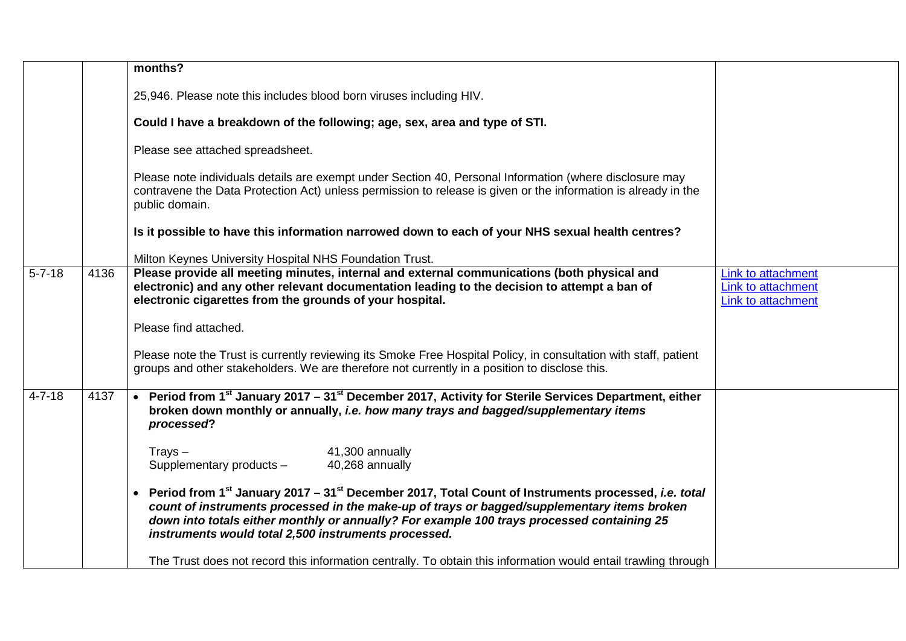|              |      | months?                                                                                                                                                                                                                                                                                                                                                                                 |                                                                |
|--------------|------|-----------------------------------------------------------------------------------------------------------------------------------------------------------------------------------------------------------------------------------------------------------------------------------------------------------------------------------------------------------------------------------------|----------------------------------------------------------------|
|              |      | 25,946. Please note this includes blood born viruses including HIV.                                                                                                                                                                                                                                                                                                                     |                                                                |
|              |      | Could I have a breakdown of the following; age, sex, area and type of STI.                                                                                                                                                                                                                                                                                                              |                                                                |
|              |      | Please see attached spreadsheet.                                                                                                                                                                                                                                                                                                                                                        |                                                                |
|              |      | Please note individuals details are exempt under Section 40, Personal Information (where disclosure may<br>contravene the Data Protection Act) unless permission to release is given or the information is already in the<br>public domain.                                                                                                                                             |                                                                |
|              |      | Is it possible to have this information narrowed down to each of your NHS sexual health centres?                                                                                                                                                                                                                                                                                        |                                                                |
|              |      | Milton Keynes University Hospital NHS Foundation Trust.                                                                                                                                                                                                                                                                                                                                 |                                                                |
| $5 - 7 - 18$ | 4136 | Please provide all meeting minutes, internal and external communications (both physical and<br>electronic) and any other relevant documentation leading to the decision to attempt a ban of<br>electronic cigarettes from the grounds of your hospital.                                                                                                                                 | Link to attachment<br>Link to attachment<br>Link to attachment |
|              |      | Please find attached.                                                                                                                                                                                                                                                                                                                                                                   |                                                                |
|              |      | Please note the Trust is currently reviewing its Smoke Free Hospital Policy, in consultation with staff, patient<br>groups and other stakeholders. We are therefore not currently in a position to disclose this.                                                                                                                                                                       |                                                                |
| $4 - 7 - 18$ | 4137 | • Period from 1 <sup>st</sup> January 2017 – 31 <sup>st</sup> December 2017, Activity for Sterile Services Department, either<br>broken down monthly or annually, i.e. how many trays and bagged/supplementary items<br>processed?                                                                                                                                                      |                                                                |
|              |      | 41,300 annually<br>$Trays -$<br>Supplementary products -<br>40,268 annually                                                                                                                                                                                                                                                                                                             |                                                                |
|              |      | Period from 1 <sup>st</sup> January 2017 – 31 <sup>st</sup> December 2017, Total Count of Instruments processed, <i>i.e. total</i><br>count of instruments processed in the make-up of trays or bagged/supplementary items broken<br>down into totals either monthly or annually? For example 100 trays processed containing 25<br>instruments would total 2,500 instruments processed. |                                                                |
|              |      | The Trust does not record this information centrally. To obtain this information would entail trawling through                                                                                                                                                                                                                                                                          |                                                                |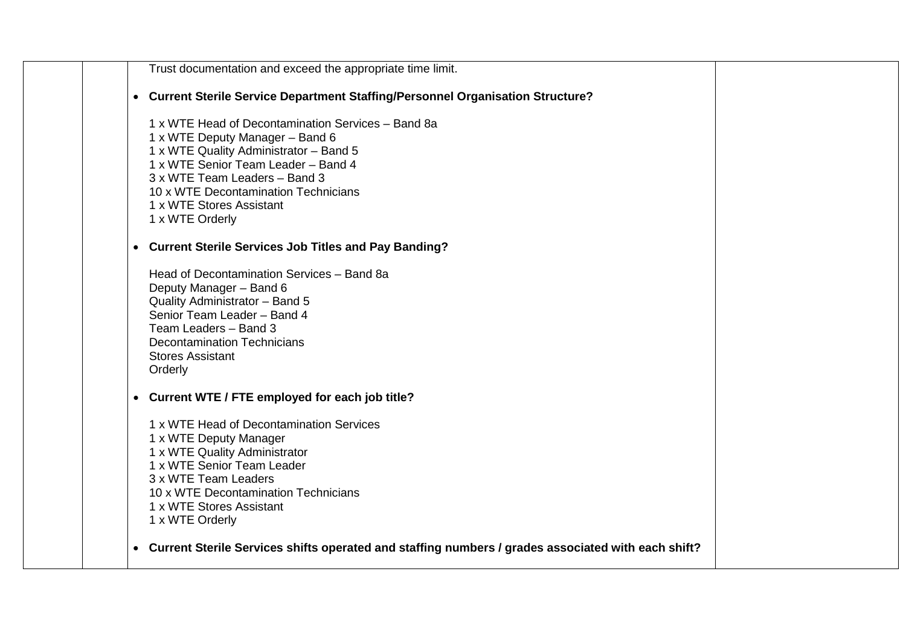| Trust documentation and exceed the appropriate time limit.                                                                                                                                                                                                                                     |  |
|------------------------------------------------------------------------------------------------------------------------------------------------------------------------------------------------------------------------------------------------------------------------------------------------|--|
| • Current Sterile Service Department Staffing/Personnel Organisation Structure?                                                                                                                                                                                                                |  |
| 1 x WTE Head of Decontamination Services - Band 8a<br>1 x WTE Deputy Manager - Band 6<br>1 x WTE Quality Administrator - Band 5<br>1 x WTE Senior Team Leader - Band 4<br>3 x WTE Team Leaders - Band 3<br>10 x WTE Decontamination Technicians<br>1 x WTE Stores Assistant<br>1 x WTE Orderly |  |
| • Current Sterile Services Job Titles and Pay Banding?                                                                                                                                                                                                                                         |  |
| Head of Decontamination Services - Band 8a<br>Deputy Manager - Band 6<br>Quality Administrator - Band 5<br>Senior Team Leader - Band 4<br>Team Leaders - Band 3<br><b>Decontamination Technicians</b><br><b>Stores Assistant</b><br>Orderly                                                    |  |
| • Current WTE / FTE employed for each job title?                                                                                                                                                                                                                                               |  |
| 1 x WTE Head of Decontamination Services<br>1 x WTE Deputy Manager<br>1 x WTE Quality Administrator<br>1 x WTE Senior Team Leader<br>3 x WTE Team Leaders<br>10 x WTE Decontamination Technicians<br>1 x WTE Stores Assistant<br>1 x WTE Orderly                                               |  |
| • Current Sterile Services shifts operated and staffing numbers / grades associated with each shift?                                                                                                                                                                                           |  |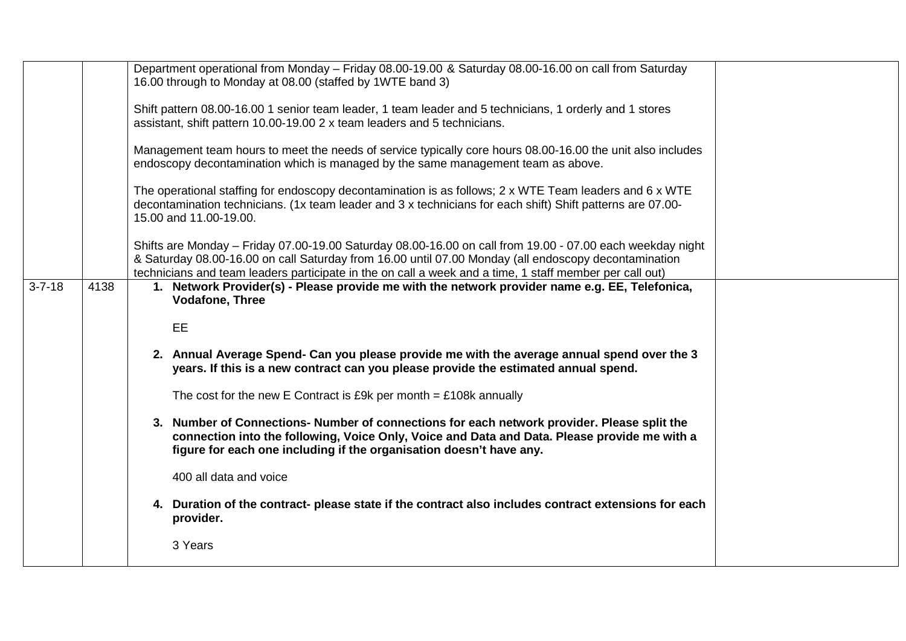|              |      | Department operational from Monday - Friday 08.00-19.00 & Saturday 08.00-16.00 on call from Saturday<br>16.00 through to Monday at 08.00 (staffed by 1WTE band 3)                                                 |  |
|--------------|------|-------------------------------------------------------------------------------------------------------------------------------------------------------------------------------------------------------------------|--|
|              |      |                                                                                                                                                                                                                   |  |
|              |      | Shift pattern 08.00-16.00 1 senior team leader, 1 team leader and 5 technicians, 1 orderly and 1 stores                                                                                                           |  |
|              |      | assistant, shift pattern 10.00-19.00 2 x team leaders and 5 technicians.                                                                                                                                          |  |
|              |      |                                                                                                                                                                                                                   |  |
|              |      | Management team hours to meet the needs of service typically core hours 08.00-16.00 the unit also includes                                                                                                        |  |
|              |      | endoscopy decontamination which is managed by the same management team as above.                                                                                                                                  |  |
|              |      | The operational staffing for endoscopy decontamination is as follows; 2 x WTE Team leaders and 6 x WTE                                                                                                            |  |
|              |      | decontamination technicians. (1x team leader and 3 x technicians for each shift) Shift patterns are 07.00-                                                                                                        |  |
|              |      | 15.00 and 11.00-19.00.                                                                                                                                                                                            |  |
|              |      |                                                                                                                                                                                                                   |  |
|              |      | Shifts are Monday - Friday 07.00-19.00 Saturday 08.00-16.00 on call from 19.00 - 07.00 each weekday night<br>& Saturday 08.00-16.00 on call Saturday from 16.00 until 07.00 Monday (all endoscopy decontamination |  |
|              |      | technicians and team leaders participate in the on call a week and a time, 1 staff member per call out)                                                                                                           |  |
| $3 - 7 - 18$ | 4138 | 1. Network Provider(s) - Please provide me with the network provider name e.g. EE, Telefonica,                                                                                                                    |  |
|              |      | <b>Vodafone, Three</b>                                                                                                                                                                                            |  |
|              |      |                                                                                                                                                                                                                   |  |
|              |      | EE                                                                                                                                                                                                                |  |
|              |      | 2. Annual Average Spend- Can you please provide me with the average annual spend over the 3                                                                                                                       |  |
|              |      | years. If this is a new contract can you please provide the estimated annual spend.                                                                                                                               |  |
|              |      |                                                                                                                                                                                                                   |  |
|              |      | The cost for the new E Contract is £9k per month = $£108k$ annually                                                                                                                                               |  |
|              |      | 3. Number of Connections-Number of connections for each network provider. Please split the                                                                                                                        |  |
|              |      | connection into the following, Voice Only, Voice and Data and Data. Please provide me with a                                                                                                                      |  |
|              |      | figure for each one including if the organisation doesn't have any.                                                                                                                                               |  |
|              |      |                                                                                                                                                                                                                   |  |
|              |      | 400 all data and voice                                                                                                                                                                                            |  |
|              |      | 4. Duration of the contract- please state if the contract also includes contract extensions for each                                                                                                              |  |
|              |      | provider.                                                                                                                                                                                                         |  |
|              |      |                                                                                                                                                                                                                   |  |
|              |      | 3 Years                                                                                                                                                                                                           |  |
|              |      |                                                                                                                                                                                                                   |  |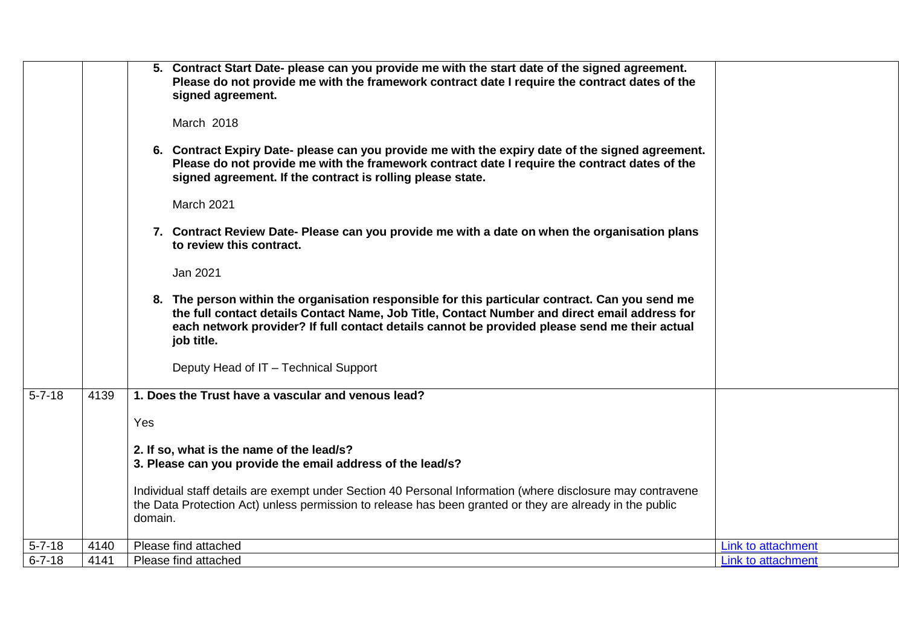|              |      | 5. Contract Start Date- please can you provide me with the start date of the signed agreement.<br>Please do not provide me with the framework contract date I require the contract dates of the<br>signed agreement.<br>March 2018<br>6. Contract Expiry Date- please can you provide me with the expiry date of the signed agreement.<br>Please do not provide me with the framework contract date I require the contract dates of the<br>signed agreement. If the contract is rolling please state.<br><b>March 2021</b><br>7. Contract Review Date- Please can you provide me with a date on when the organisation plans<br>to review this contract.<br>Jan 2021<br>8. The person within the organisation responsible for this particular contract. Can you send me<br>the full contact details Contact Name, Job Title, Contact Number and direct email address for<br>each network provider? If full contact details cannot be provided please send me their actual<br>job title.<br>Deputy Head of IT - Technical Support |                    |
|--------------|------|---------------------------------------------------------------------------------------------------------------------------------------------------------------------------------------------------------------------------------------------------------------------------------------------------------------------------------------------------------------------------------------------------------------------------------------------------------------------------------------------------------------------------------------------------------------------------------------------------------------------------------------------------------------------------------------------------------------------------------------------------------------------------------------------------------------------------------------------------------------------------------------------------------------------------------------------------------------------------------------------------------------------------------|--------------------|
| $5 - 7 - 18$ | 4139 | 1. Does the Trust have a vascular and venous lead?                                                                                                                                                                                                                                                                                                                                                                                                                                                                                                                                                                                                                                                                                                                                                                                                                                                                                                                                                                              |                    |
|              |      | Yes                                                                                                                                                                                                                                                                                                                                                                                                                                                                                                                                                                                                                                                                                                                                                                                                                                                                                                                                                                                                                             |                    |
|              |      | 2. If so, what is the name of the lead/s?                                                                                                                                                                                                                                                                                                                                                                                                                                                                                                                                                                                                                                                                                                                                                                                                                                                                                                                                                                                       |                    |
|              |      | 3. Please can you provide the email address of the lead/s?                                                                                                                                                                                                                                                                                                                                                                                                                                                                                                                                                                                                                                                                                                                                                                                                                                                                                                                                                                      |                    |
|              |      | Individual staff details are exempt under Section 40 Personal Information (where disclosure may contravene                                                                                                                                                                                                                                                                                                                                                                                                                                                                                                                                                                                                                                                                                                                                                                                                                                                                                                                      |                    |
|              |      | the Data Protection Act) unless permission to release has been granted or they are already in the public<br>domain.                                                                                                                                                                                                                                                                                                                                                                                                                                                                                                                                                                                                                                                                                                                                                                                                                                                                                                             |                    |
| $5 - 7 - 18$ | 4140 | Please find attached                                                                                                                                                                                                                                                                                                                                                                                                                                                                                                                                                                                                                                                                                                                                                                                                                                                                                                                                                                                                            | Link to attachment |
| $6 - 7 - 18$ | 4141 | Please find attached                                                                                                                                                                                                                                                                                                                                                                                                                                                                                                                                                                                                                                                                                                                                                                                                                                                                                                                                                                                                            | Link to attachment |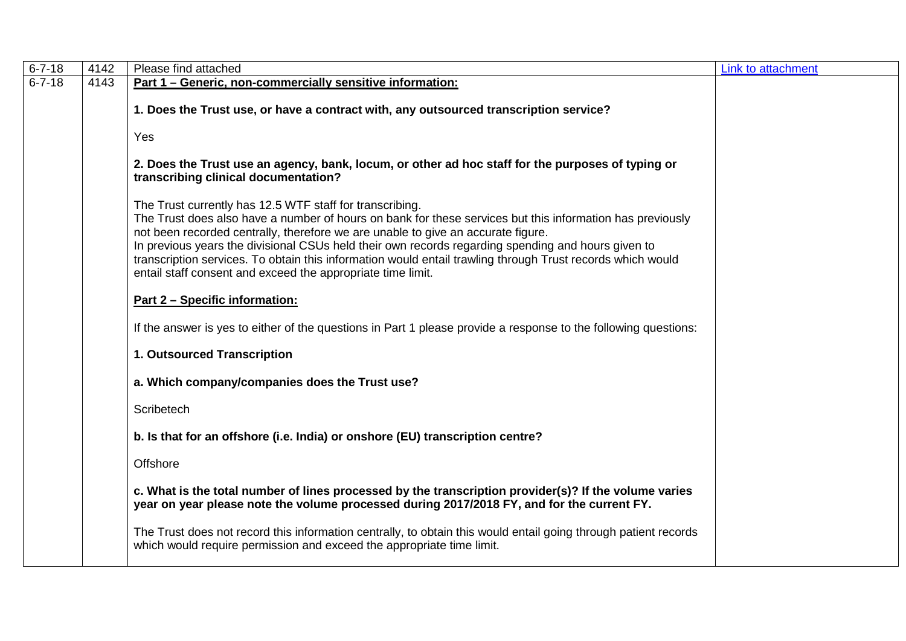| $6 - 7 - 18$ | 4142 | Please find attached                                                                                                                                                                                                                                                                                                                                                                                                                                                                                                                         | Link to attachment |
|--------------|------|----------------------------------------------------------------------------------------------------------------------------------------------------------------------------------------------------------------------------------------------------------------------------------------------------------------------------------------------------------------------------------------------------------------------------------------------------------------------------------------------------------------------------------------------|--------------------|
| $6 - 7 - 18$ | 4143 | Part 1 - Generic, non-commercially sensitive information:                                                                                                                                                                                                                                                                                                                                                                                                                                                                                    |                    |
|              |      | 1. Does the Trust use, or have a contract with, any outsourced transcription service?                                                                                                                                                                                                                                                                                                                                                                                                                                                        |                    |
|              |      | Yes                                                                                                                                                                                                                                                                                                                                                                                                                                                                                                                                          |                    |
|              |      | 2. Does the Trust use an agency, bank, locum, or other ad hoc staff for the purposes of typing or<br>transcribing clinical documentation?                                                                                                                                                                                                                                                                                                                                                                                                    |                    |
|              |      | The Trust currently has 12.5 WTF staff for transcribing.<br>The Trust does also have a number of hours on bank for these services but this information has previously<br>not been recorded centrally, therefore we are unable to give an accurate figure.<br>In previous years the divisional CSUs held their own records regarding spending and hours given to<br>transcription services. To obtain this information would entail trawling through Trust records which would<br>entail staff consent and exceed the appropriate time limit. |                    |
|              |      | Part 2 - Specific information:                                                                                                                                                                                                                                                                                                                                                                                                                                                                                                               |                    |
|              |      | If the answer is yes to either of the questions in Part 1 please provide a response to the following questions:                                                                                                                                                                                                                                                                                                                                                                                                                              |                    |
|              |      | 1. Outsourced Transcription                                                                                                                                                                                                                                                                                                                                                                                                                                                                                                                  |                    |
|              |      | a. Which company/companies does the Trust use?                                                                                                                                                                                                                                                                                                                                                                                                                                                                                               |                    |
|              |      | Scribetech                                                                                                                                                                                                                                                                                                                                                                                                                                                                                                                                   |                    |
|              |      | b. Is that for an offshore (i.e. India) or onshore (EU) transcription centre?                                                                                                                                                                                                                                                                                                                                                                                                                                                                |                    |
|              |      | Offshore                                                                                                                                                                                                                                                                                                                                                                                                                                                                                                                                     |                    |
|              |      | c. What is the total number of lines processed by the transcription provider(s)? If the volume varies<br>year on year please note the volume processed during 2017/2018 FY, and for the current FY.                                                                                                                                                                                                                                                                                                                                          |                    |
|              |      | The Trust does not record this information centrally, to obtain this would entail going through patient records<br>which would require permission and exceed the appropriate time limit.                                                                                                                                                                                                                                                                                                                                                     |                    |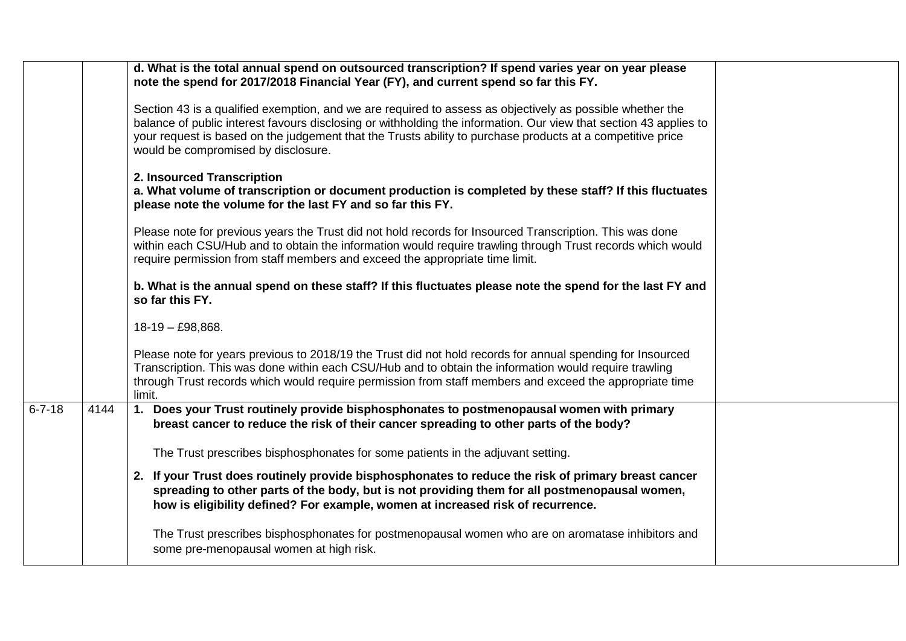|              |      | d. What is the total annual spend on outsourced transcription? If spend varies year on year please<br>note the spend for 2017/2018 Financial Year (FY), and current spend so far this FY.                                                                                                                                                                                           |
|--------------|------|-------------------------------------------------------------------------------------------------------------------------------------------------------------------------------------------------------------------------------------------------------------------------------------------------------------------------------------------------------------------------------------|
|              |      | Section 43 is a qualified exemption, and we are required to assess as objectively as possible whether the<br>balance of public interest favours disclosing or withholding the information. Our view that section 43 applies to<br>your request is based on the judgement that the Trusts ability to purchase products at a competitive price<br>would be compromised by disclosure. |
|              |      | 2. Insourced Transcription<br>a. What volume of transcription or document production is completed by these staff? If this fluctuates<br>please note the volume for the last FY and so far this FY.                                                                                                                                                                                  |
|              |      | Please note for previous years the Trust did not hold records for Insourced Transcription. This was done<br>within each CSU/Hub and to obtain the information would require trawling through Trust records which would<br>require permission from staff members and exceed the appropriate time limit.                                                                              |
|              |      | b. What is the annual spend on these staff? If this fluctuates please note the spend for the last FY and<br>so far this FY.                                                                                                                                                                                                                                                         |
|              |      | $18-19 - E98,868.$                                                                                                                                                                                                                                                                                                                                                                  |
|              |      | Please note for years previous to 2018/19 the Trust did not hold records for annual spending for Insourced<br>Transcription. This was done within each CSU/Hub and to obtain the information would require trawling<br>through Trust records which would require permission from staff members and exceed the appropriate time<br>limit.                                            |
| $6 - 7 - 18$ | 4144 | 1. Does your Trust routinely provide bisphosphonates to postmenopausal women with primary<br>breast cancer to reduce the risk of their cancer spreading to other parts of the body?                                                                                                                                                                                                 |
|              |      | The Trust prescribes bisphosphonates for some patients in the adjuvant setting.                                                                                                                                                                                                                                                                                                     |
|              |      | 2. If your Trust does routinely provide bisphosphonates to reduce the risk of primary breast cancer<br>spreading to other parts of the body, but is not providing them for all postmenopausal women,<br>how is eligibility defined? For example, women at increased risk of recurrence.                                                                                             |
|              |      | The Trust prescribes bisphosphonates for postmenopausal women who are on aromatase inhibitors and<br>some pre-menopausal women at high risk.                                                                                                                                                                                                                                        |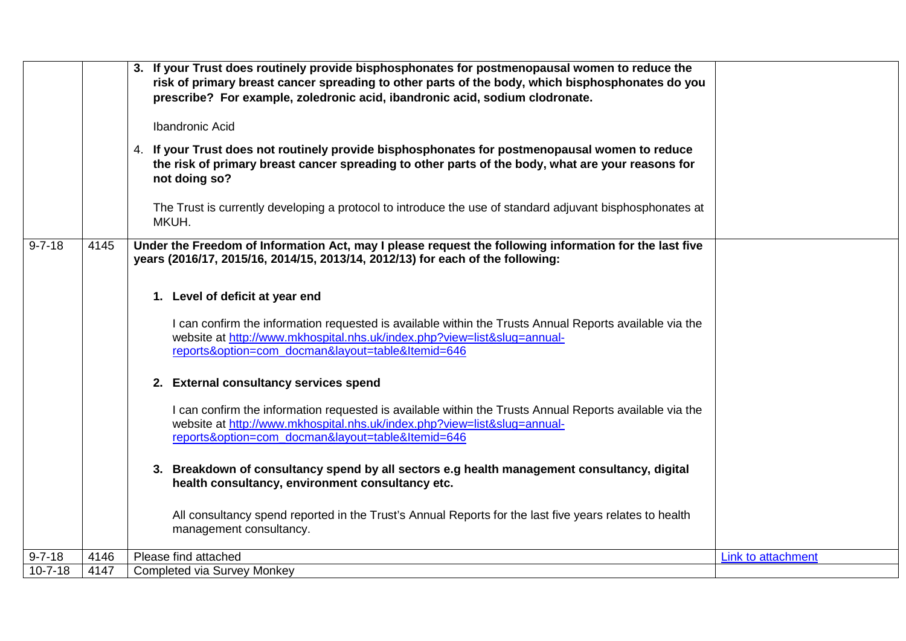|               |      | 3. If your Trust does routinely provide bisphosphonates for postmenopausal women to reduce the<br>risk of primary breast cancer spreading to other parts of the body, which bisphosphonates do you<br>prescribe? For example, zoledronic acid, ibandronic acid, sodium clodronate.<br><b>Ibandronic Acid</b><br>4. If your Trust does not routinely provide bisphosphonates for postmenopausal women to reduce<br>the risk of primary breast cancer spreading to other parts of the body, what are your reasons for<br>not doing so? |                           |
|---------------|------|--------------------------------------------------------------------------------------------------------------------------------------------------------------------------------------------------------------------------------------------------------------------------------------------------------------------------------------------------------------------------------------------------------------------------------------------------------------------------------------------------------------------------------------|---------------------------|
|               |      | The Trust is currently developing a protocol to introduce the use of standard adjuvant bisphosphonates at<br>MKUH.                                                                                                                                                                                                                                                                                                                                                                                                                   |                           |
| $9 - 7 - 18$  | 4145 | Under the Freedom of Information Act, may I please request the following information for the last five<br>years (2016/17, 2015/16, 2014/15, 2013/14, 2012/13) for each of the following:                                                                                                                                                                                                                                                                                                                                             |                           |
|               |      | 1. Level of deficit at year end                                                                                                                                                                                                                                                                                                                                                                                                                                                                                                      |                           |
|               |      | I can confirm the information requested is available within the Trusts Annual Reports available via the<br>website at http://www.mkhospital.nhs.uk/index.php?view=list&slug=annual-<br>reports&option=com_docman&layout=table&Itemid=646                                                                                                                                                                                                                                                                                             |                           |
|               |      | 2. External consultancy services spend                                                                                                                                                                                                                                                                                                                                                                                                                                                                                               |                           |
|               |      | I can confirm the information requested is available within the Trusts Annual Reports available via the<br>website at http://www.mkhospital.nhs.uk/index.php?view=list&slug=annual-<br>reports&option=com_docman&layout=table&Itemid=646                                                                                                                                                                                                                                                                                             |                           |
|               |      | 3. Breakdown of consultancy spend by all sectors e.g health management consultancy, digital<br>health consultancy, environment consultancy etc.                                                                                                                                                                                                                                                                                                                                                                                      |                           |
|               |      | All consultancy spend reported in the Trust's Annual Reports for the last five years relates to health<br>management consultancy.                                                                                                                                                                                                                                                                                                                                                                                                    |                           |
| $9 - 7 - 18$  | 4146 | Please find attached                                                                                                                                                                                                                                                                                                                                                                                                                                                                                                                 | <b>Link to attachment</b> |
| $10 - 7 - 18$ | 4147 | <b>Completed via Survey Monkey</b>                                                                                                                                                                                                                                                                                                                                                                                                                                                                                                   |                           |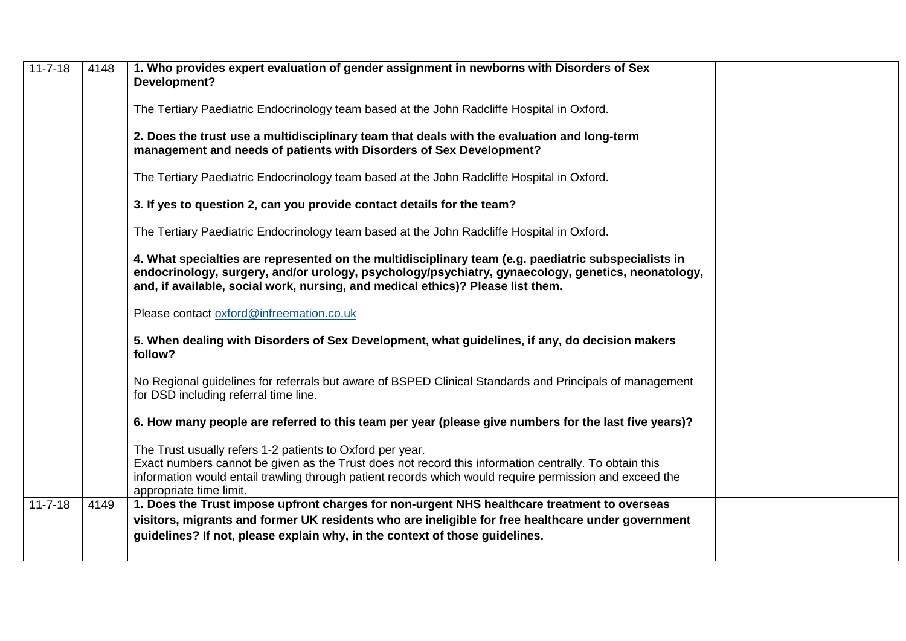| $11 - 7 - 18$ | 4148 | 1. Who provides expert evaluation of gender assignment in newborns with Disorders of Sex<br>Development?                                                                                                                                                                                                 |
|---------------|------|----------------------------------------------------------------------------------------------------------------------------------------------------------------------------------------------------------------------------------------------------------------------------------------------------------|
|               |      | The Tertiary Paediatric Endocrinology team based at the John Radcliffe Hospital in Oxford.                                                                                                                                                                                                               |
|               |      | 2. Does the trust use a multidisciplinary team that deals with the evaluation and long-term<br>management and needs of patients with Disorders of Sex Development?                                                                                                                                       |
|               |      | The Tertiary Paediatric Endocrinology team based at the John Radcliffe Hospital in Oxford.                                                                                                                                                                                                               |
|               |      | 3. If yes to question 2, can you provide contact details for the team?                                                                                                                                                                                                                                   |
|               |      | The Tertiary Paediatric Endocrinology team based at the John Radcliffe Hospital in Oxford.                                                                                                                                                                                                               |
|               |      | 4. What specialties are represented on the multidisciplinary team (e.g. paediatric subspecialists in<br>endocrinology, surgery, and/or urology, psychology/psychiatry, gynaecology, genetics, neonatology,<br>and, if available, social work, nursing, and medical ethics)? Please list them.            |
|               |      | Please contact oxford@infreemation.co.uk                                                                                                                                                                                                                                                                 |
|               |      | 5. When dealing with Disorders of Sex Development, what guidelines, if any, do decision makers<br>follow?                                                                                                                                                                                                |
|               |      | No Regional guidelines for referrals but aware of BSPED Clinical Standards and Principals of management<br>for DSD including referral time line.                                                                                                                                                         |
|               |      | 6. How many people are referred to this team per year (please give numbers for the last five years)?                                                                                                                                                                                                     |
|               |      | The Trust usually refers 1-2 patients to Oxford per year.<br>Exact numbers cannot be given as the Trust does not record this information centrally. To obtain this<br>information would entail trawling through patient records which would require permission and exceed the<br>appropriate time limit. |
| $11 - 7 - 18$ | 4149 | 1. Does the Trust impose upfront charges for non-urgent NHS healthcare treatment to overseas<br>visitors, migrants and former UK residents who are ineligible for free healthcare under government<br>quidelines? If not, please explain why, in the context of those guidelines.                        |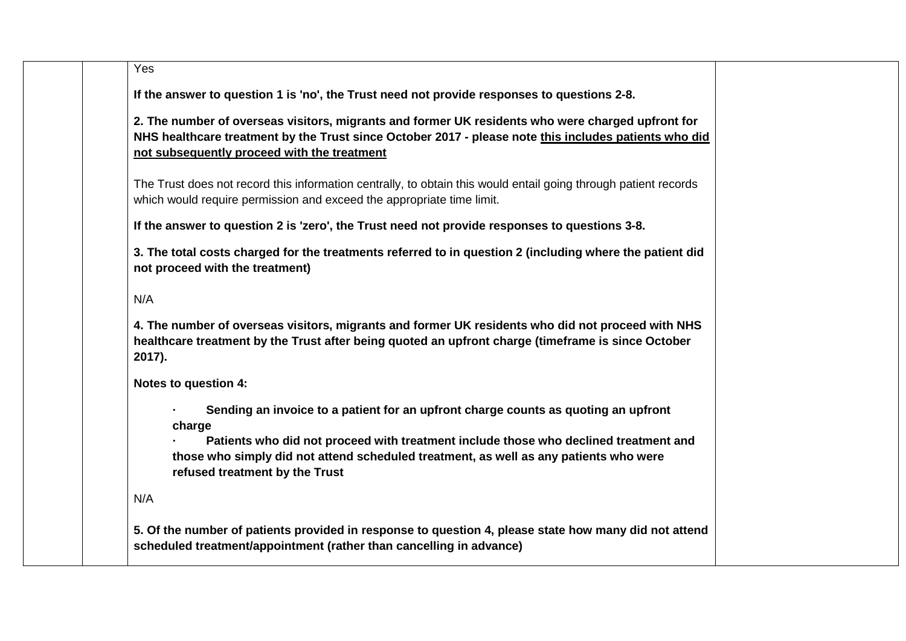| Yes    |                                                                                                                                                                                                                                                           |
|--------|-----------------------------------------------------------------------------------------------------------------------------------------------------------------------------------------------------------------------------------------------------------|
|        | If the answer to question 1 is 'no', the Trust need not provide responses to questions 2-8.                                                                                                                                                               |
|        | 2. The number of overseas visitors, migrants and former UK residents who were charged upfront for<br>NHS healthcare treatment by the Trust since October 2017 - please note this includes patients who did<br>not subsequently proceed with the treatment |
|        | The Trust does not record this information centrally, to obtain this would entail going through patient records<br>which would require permission and exceed the appropriate time limit.                                                                  |
|        | If the answer to question 2 is 'zero', the Trust need not provide responses to questions 3-8.                                                                                                                                                             |
|        | 3. The total costs charged for the treatments referred to in question 2 (including where the patient did<br>not proceed with the treatment)                                                                                                               |
| N/A    |                                                                                                                                                                                                                                                           |
| 2017). | 4. The number of overseas visitors, migrants and former UK residents who did not proceed with NHS<br>healthcare treatment by the Trust after being quoted an upfront charge (timeframe is since October                                                   |
|        | Notes to question 4:                                                                                                                                                                                                                                      |
|        | Sending an invoice to a patient for an upfront charge counts as quoting an upfront<br>charge                                                                                                                                                              |
|        | Patients who did not proceed with treatment include those who declined treatment and<br>those who simply did not attend scheduled treatment, as well as any patients who were<br>refused treatment by the Trust                                           |
| N/A    |                                                                                                                                                                                                                                                           |
|        | 5. Of the number of patients provided in response to question 4, please state how many did not attend                                                                                                                                                     |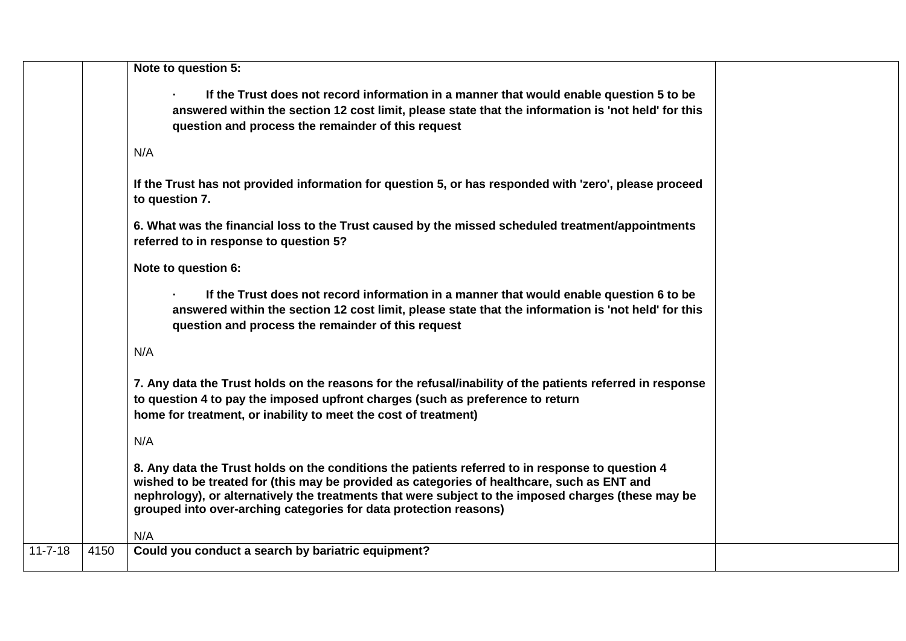| If the Trust does not record information in a manner that would enable question 5 to be<br>answered within the section 12 cost limit, please state that the information is 'not held' for this<br>question and process the remainder of this request<br>N/A<br>If the Trust has not provided information for question 5, or has responded with 'zero', please proceed<br>to question 7.<br>6. What was the financial loss to the Trust caused by the missed scheduled treatment/appointments<br>referred to in response to question 5?<br>Note to question 6:<br>If the Trust does not record information in a manner that would enable question 6 to be<br>answered within the section 12 cost limit, please state that the information is 'not held' for this<br>question and process the remainder of this request<br>N/A<br>7. Any data the Trust holds on the reasons for the refusal/inability of the patients referred in response<br>to question 4 to pay the imposed upfront charges (such as preference to return<br>home for treatment, or inability to meet the cost of treatment)<br>N/A<br>8. Any data the Trust holds on the conditions the patients referred to in response to question 4<br>wished to be treated for (this may be provided as categories of healthcare, such as ENT and<br>nephrology), or alternatively the treatments that were subject to the imposed charges (these may be<br>grouped into over-arching categories for data protection reasons)<br>N/A<br>$11 - 7 - 18$<br>4150<br>Could you conduct a search by bariatric equipment? |  | Note to question 5: |
|----------------------------------------------------------------------------------------------------------------------------------------------------------------------------------------------------------------------------------------------------------------------------------------------------------------------------------------------------------------------------------------------------------------------------------------------------------------------------------------------------------------------------------------------------------------------------------------------------------------------------------------------------------------------------------------------------------------------------------------------------------------------------------------------------------------------------------------------------------------------------------------------------------------------------------------------------------------------------------------------------------------------------------------------------------------------------------------------------------------------------------------------------------------------------------------------------------------------------------------------------------------------------------------------------------------------------------------------------------------------------------------------------------------------------------------------------------------------------------------------------------------------------------------------------------------------------|--|---------------------|
|                                                                                                                                                                                                                                                                                                                                                                                                                                                                                                                                                                                                                                                                                                                                                                                                                                                                                                                                                                                                                                                                                                                                                                                                                                                                                                                                                                                                                                                                                                                                                                            |  |                     |
|                                                                                                                                                                                                                                                                                                                                                                                                                                                                                                                                                                                                                                                                                                                                                                                                                                                                                                                                                                                                                                                                                                                                                                                                                                                                                                                                                                                                                                                                                                                                                                            |  |                     |
|                                                                                                                                                                                                                                                                                                                                                                                                                                                                                                                                                                                                                                                                                                                                                                                                                                                                                                                                                                                                                                                                                                                                                                                                                                                                                                                                                                                                                                                                                                                                                                            |  |                     |
|                                                                                                                                                                                                                                                                                                                                                                                                                                                                                                                                                                                                                                                                                                                                                                                                                                                                                                                                                                                                                                                                                                                                                                                                                                                                                                                                                                                                                                                                                                                                                                            |  |                     |
|                                                                                                                                                                                                                                                                                                                                                                                                                                                                                                                                                                                                                                                                                                                                                                                                                                                                                                                                                                                                                                                                                                                                                                                                                                                                                                                                                                                                                                                                                                                                                                            |  |                     |
|                                                                                                                                                                                                                                                                                                                                                                                                                                                                                                                                                                                                                                                                                                                                                                                                                                                                                                                                                                                                                                                                                                                                                                                                                                                                                                                                                                                                                                                                                                                                                                            |  |                     |
|                                                                                                                                                                                                                                                                                                                                                                                                                                                                                                                                                                                                                                                                                                                                                                                                                                                                                                                                                                                                                                                                                                                                                                                                                                                                                                                                                                                                                                                                                                                                                                            |  |                     |
|                                                                                                                                                                                                                                                                                                                                                                                                                                                                                                                                                                                                                                                                                                                                                                                                                                                                                                                                                                                                                                                                                                                                                                                                                                                                                                                                                                                                                                                                                                                                                                            |  |                     |
|                                                                                                                                                                                                                                                                                                                                                                                                                                                                                                                                                                                                                                                                                                                                                                                                                                                                                                                                                                                                                                                                                                                                                                                                                                                                                                                                                                                                                                                                                                                                                                            |  |                     |
|                                                                                                                                                                                                                                                                                                                                                                                                                                                                                                                                                                                                                                                                                                                                                                                                                                                                                                                                                                                                                                                                                                                                                                                                                                                                                                                                                                                                                                                                                                                                                                            |  |                     |
|                                                                                                                                                                                                                                                                                                                                                                                                                                                                                                                                                                                                                                                                                                                                                                                                                                                                                                                                                                                                                                                                                                                                                                                                                                                                                                                                                                                                                                                                                                                                                                            |  |                     |
|                                                                                                                                                                                                                                                                                                                                                                                                                                                                                                                                                                                                                                                                                                                                                                                                                                                                                                                                                                                                                                                                                                                                                                                                                                                                                                                                                                                                                                                                                                                                                                            |  |                     |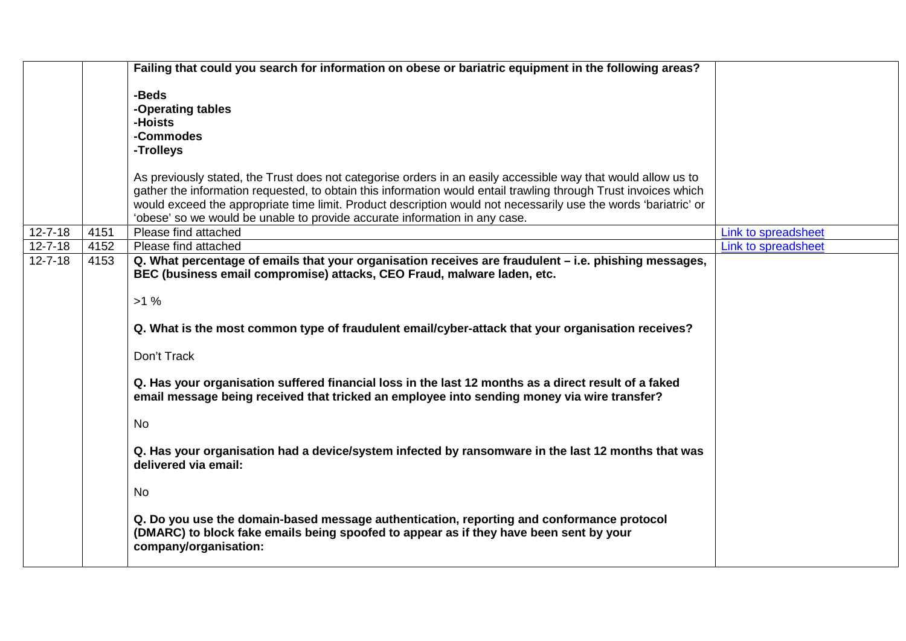|               |      | Failing that could you search for information on obese or bariatric equipment in the following areas?                                                                                                        |                     |
|---------------|------|--------------------------------------------------------------------------------------------------------------------------------------------------------------------------------------------------------------|---------------------|
|               |      | -Beds                                                                                                                                                                                                        |                     |
|               |      | -Operating tables                                                                                                                                                                                            |                     |
|               |      | -Hoists                                                                                                                                                                                                      |                     |
|               |      | -Commodes                                                                                                                                                                                                    |                     |
|               |      | -Trolleys                                                                                                                                                                                                    |                     |
|               |      |                                                                                                                                                                                                              |                     |
|               |      | As previously stated, the Trust does not categorise orders in an easily accessible way that would allow us to                                                                                                |                     |
|               |      | gather the information requested, to obtain this information would entail trawling through Trust invoices which                                                                                              |                     |
|               |      | would exceed the appropriate time limit. Product description would not necessarily use the words 'bariatric' or                                                                                              |                     |
|               |      | 'obese' so we would be unable to provide accurate information in any case.                                                                                                                                   |                     |
| $12 - 7 - 18$ | 4151 | Please find attached                                                                                                                                                                                         | Link to spreadsheet |
| $12 - 7 - 18$ | 4152 | Please find attached                                                                                                                                                                                         | Link to spreadsheet |
| $12 - 7 - 18$ | 4153 | Q. What percentage of emails that your organisation receives are fraudulent – i.e. phishing messages,                                                                                                        |                     |
|               |      | BEC (business email compromise) attacks, CEO Fraud, malware laden, etc.                                                                                                                                      |                     |
|               |      | $>1\%$                                                                                                                                                                                                       |                     |
|               |      |                                                                                                                                                                                                              |                     |
|               |      | Q. What is the most common type of fraudulent email/cyber-attack that your organisation receives?                                                                                                            |                     |
|               |      | Don't Track                                                                                                                                                                                                  |                     |
|               |      | Q. Has your organisation suffered financial loss in the last 12 months as a direct result of a faked                                                                                                         |                     |
|               |      | email message being received that tricked an employee into sending money via wire transfer?                                                                                                                  |                     |
|               |      | <b>No</b>                                                                                                                                                                                                    |                     |
|               |      |                                                                                                                                                                                                              |                     |
|               |      | Q. Has your organisation had a device/system infected by ransomware in the last 12 months that was<br>delivered via email:                                                                                   |                     |
|               |      | <b>No</b>                                                                                                                                                                                                    |                     |
|               |      | Q. Do you use the domain-based message authentication, reporting and conformance protocol<br>(DMARC) to block fake emails being spoofed to appear as if they have been sent by your<br>company/organisation: |                     |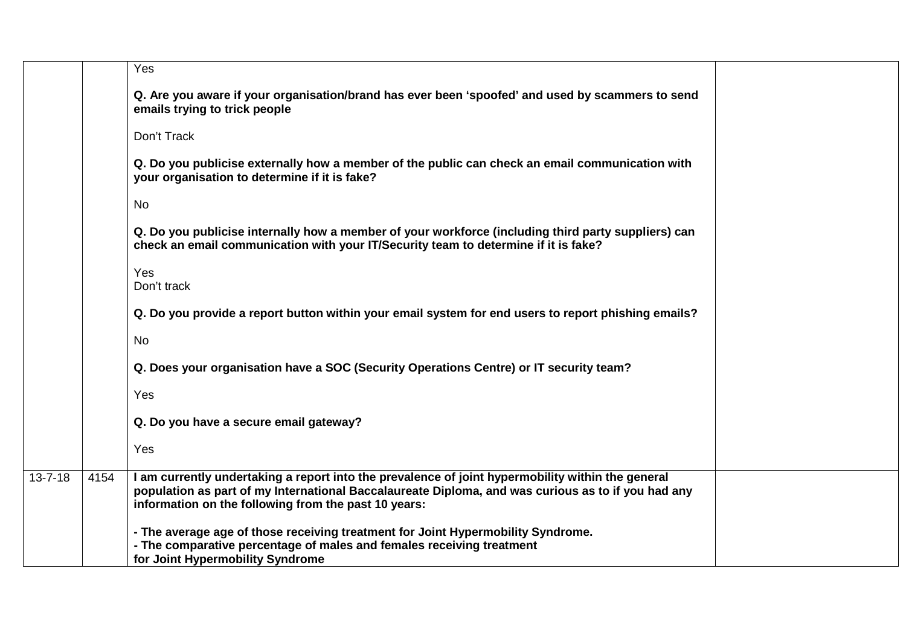|               |      | Yes                                                                                                                                                                                                                                                             |
|---------------|------|-----------------------------------------------------------------------------------------------------------------------------------------------------------------------------------------------------------------------------------------------------------------|
|               |      | Q. Are you aware if your organisation/brand has ever been 'spoofed' and used by scammers to send<br>emails trying to trick people                                                                                                                               |
|               |      | Don't Track                                                                                                                                                                                                                                                     |
|               |      | Q. Do you publicise externally how a member of the public can check an email communication with<br>your organisation to determine if it is fake?                                                                                                                |
|               |      | No                                                                                                                                                                                                                                                              |
|               |      | Q. Do you publicise internally how a member of your workforce (including third party suppliers) can<br>check an email communication with your IT/Security team to determine if it is fake?                                                                      |
|               |      | Yes<br>Don't track                                                                                                                                                                                                                                              |
|               |      | Q. Do you provide a report button within your email system for end users to report phishing emails?                                                                                                                                                             |
|               |      | No                                                                                                                                                                                                                                                              |
|               |      | Q. Does your organisation have a SOC (Security Operations Centre) or IT security team?                                                                                                                                                                          |
|               |      | Yes                                                                                                                                                                                                                                                             |
|               |      | Q. Do you have a secure email gateway?                                                                                                                                                                                                                          |
|               |      | Yes                                                                                                                                                                                                                                                             |
| $13 - 7 - 18$ | 4154 | I am currently undertaking a report into the prevalence of joint hypermobility within the general<br>population as part of my International Baccalaureate Diploma, and was curious as to if you had any<br>information on the following from the past 10 years: |
|               |      | - The average age of those receiving treatment for Joint Hypermobility Syndrome.<br>- The comparative percentage of males and females receiving treatment<br>for Joint Hypermobility Syndrome                                                                   |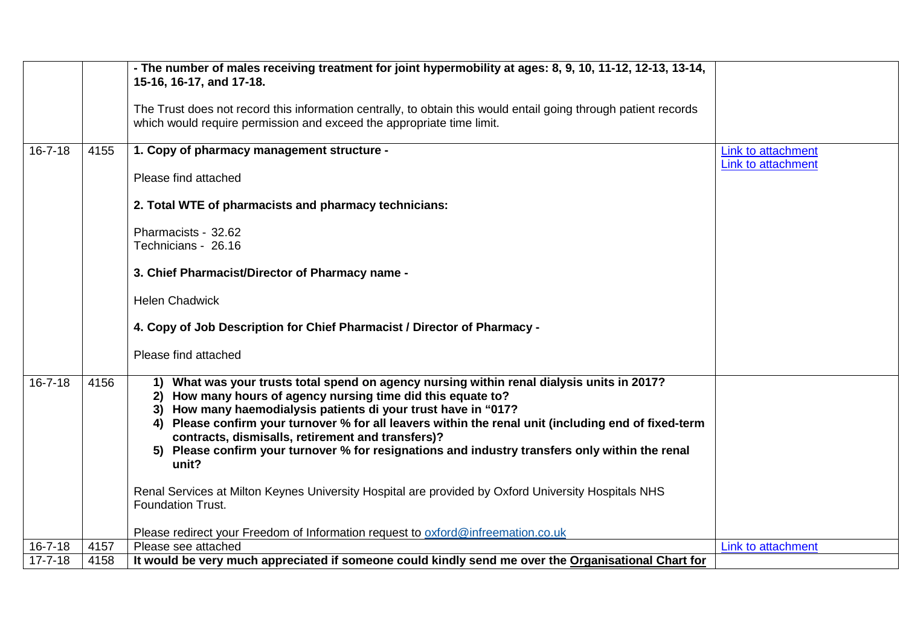|               |      | - The number of males receiving treatment for joint hypermobility at ages: 8, 9, 10, 11-12, 12-13, 13-14,                                                                                                                                                                                                                                                                                                                                                                                                      |                                          |
|---------------|------|----------------------------------------------------------------------------------------------------------------------------------------------------------------------------------------------------------------------------------------------------------------------------------------------------------------------------------------------------------------------------------------------------------------------------------------------------------------------------------------------------------------|------------------------------------------|
|               |      | 15-16, 16-17, and 17-18.                                                                                                                                                                                                                                                                                                                                                                                                                                                                                       |                                          |
|               |      | The Trust does not record this information centrally, to obtain this would entail going through patient records<br>which would require permission and exceed the appropriate time limit.                                                                                                                                                                                                                                                                                                                       |                                          |
| $16 - 7 - 18$ | 4155 | 1. Copy of pharmacy management structure -                                                                                                                                                                                                                                                                                                                                                                                                                                                                     | Link to attachment<br>Link to attachment |
|               |      | Please find attached                                                                                                                                                                                                                                                                                                                                                                                                                                                                                           |                                          |
|               |      | 2. Total WTE of pharmacists and pharmacy technicians:                                                                                                                                                                                                                                                                                                                                                                                                                                                          |                                          |
|               |      | Pharmacists - 32.62<br>Technicians - 26.16                                                                                                                                                                                                                                                                                                                                                                                                                                                                     |                                          |
|               |      | 3. Chief Pharmacist/Director of Pharmacy name -                                                                                                                                                                                                                                                                                                                                                                                                                                                                |                                          |
|               |      | <b>Helen Chadwick</b>                                                                                                                                                                                                                                                                                                                                                                                                                                                                                          |                                          |
|               |      | 4. Copy of Job Description for Chief Pharmacist / Director of Pharmacy -                                                                                                                                                                                                                                                                                                                                                                                                                                       |                                          |
|               |      | Please find attached                                                                                                                                                                                                                                                                                                                                                                                                                                                                                           |                                          |
| $16 - 7 - 18$ | 4156 | What was your trusts total spend on agency nursing within renal dialysis units in 2017?<br>1)<br>2) How many hours of agency nursing time did this equate to?<br>3) How many haemodialysis patients di your trust have in "017?<br>Please confirm your turnover % for all leavers within the renal unit (including end of fixed-term<br>4)<br>contracts, dismisalls, retirement and transfers)?<br>Please confirm your turnover % for resignations and industry transfers only within the renal<br>5)<br>unit? |                                          |
|               |      | Renal Services at Milton Keynes University Hospital are provided by Oxford University Hospitals NHS<br><b>Foundation Trust.</b>                                                                                                                                                                                                                                                                                                                                                                                |                                          |
|               |      | Please redirect your Freedom of Information request to oxford@infreemation.co.uk                                                                                                                                                                                                                                                                                                                                                                                                                               |                                          |
| $16 - 7 - 18$ | 4157 | Please see attached                                                                                                                                                                                                                                                                                                                                                                                                                                                                                            | Link to attachment                       |
| $17 - 7 - 18$ | 4158 | It would be very much appreciated if someone could kindly send me over the Organisational Chart for                                                                                                                                                                                                                                                                                                                                                                                                            |                                          |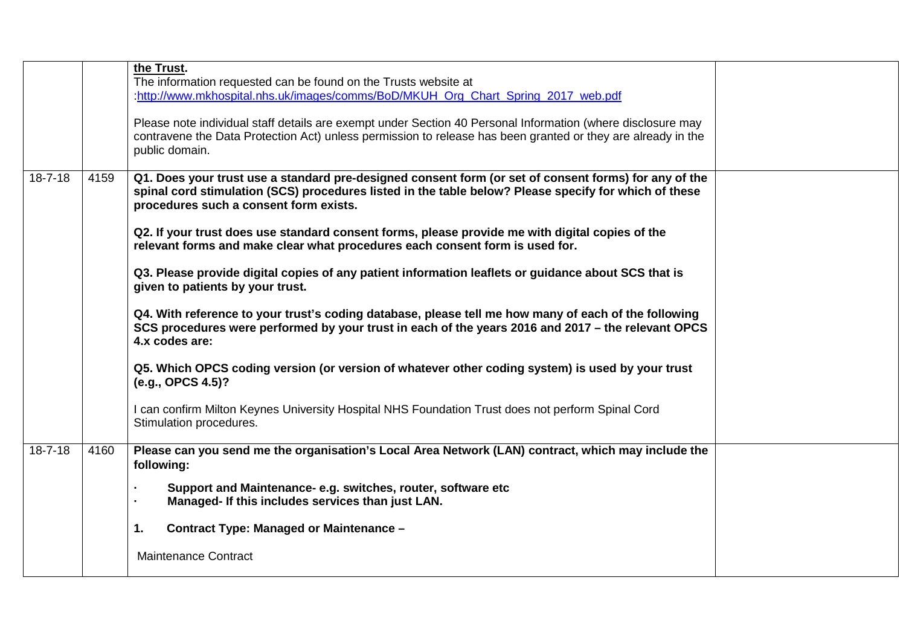|               |      | the Trust.<br>The information requested can be found on the Trusts website at<br>http://www.mkhospital.nhs.uk/images/comms/BoD/MKUH Org Chart Spring 2017 web.pdf<br>Please note individual staff details are exempt under Section 40 Personal Information (where disclosure may<br>contravene the Data Protection Act) unless permission to release has been granted or they are already in the<br>public domain.                                                                                                                                                                                                                                                                                                                                                                                                                                                                                                                                                                                                                                                            |  |
|---------------|------|-------------------------------------------------------------------------------------------------------------------------------------------------------------------------------------------------------------------------------------------------------------------------------------------------------------------------------------------------------------------------------------------------------------------------------------------------------------------------------------------------------------------------------------------------------------------------------------------------------------------------------------------------------------------------------------------------------------------------------------------------------------------------------------------------------------------------------------------------------------------------------------------------------------------------------------------------------------------------------------------------------------------------------------------------------------------------------|--|
| $18 - 7 - 18$ | 4159 | Q1. Does your trust use a standard pre-designed consent form (or set of consent forms) for any of the<br>spinal cord stimulation (SCS) procedures listed in the table below? Please specify for which of these<br>procedures such a consent form exists.<br>Q2. If your trust does use standard consent forms, please provide me with digital copies of the<br>relevant forms and make clear what procedures each consent form is used for.<br>Q3. Please provide digital copies of any patient information leaflets or guidance about SCS that is<br>given to patients by your trust.<br>Q4. With reference to your trust's coding database, please tell me how many of each of the following<br>SCS procedures were performed by your trust in each of the years 2016 and 2017 – the relevant OPCS<br>4.x codes are:<br>Q5. Which OPCS coding version (or version of whatever other coding system) is used by your trust<br>(e.g., OPCS 4.5)?<br>can confirm Milton Keynes University Hospital NHS Foundation Trust does not perform Spinal Cord<br>Stimulation procedures. |  |
| $18 - 7 - 18$ | 4160 | Please can you send me the organisation's Local Area Network (LAN) contract, which may include the<br>following:                                                                                                                                                                                                                                                                                                                                                                                                                                                                                                                                                                                                                                                                                                                                                                                                                                                                                                                                                              |  |
|               |      | Support and Maintenance- e.g. switches, router, software etc<br>Managed- If this includes services than just LAN.<br>Contract Type: Managed or Maintenance -<br>1.<br><b>Maintenance Contract</b>                                                                                                                                                                                                                                                                                                                                                                                                                                                                                                                                                                                                                                                                                                                                                                                                                                                                             |  |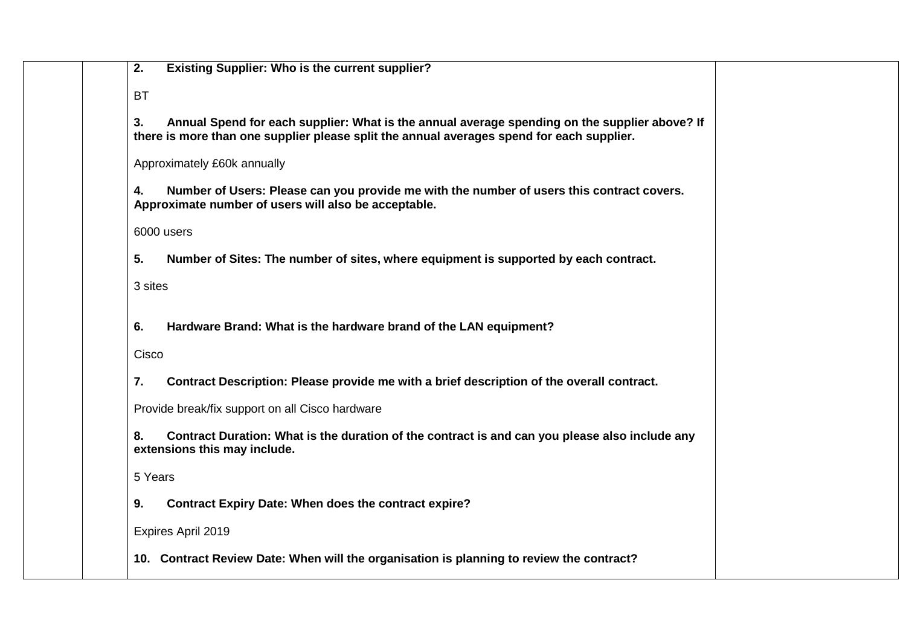| <b>Existing Supplier: Who is the current supplier?</b><br>2.                                                                                                                                     |
|--------------------------------------------------------------------------------------------------------------------------------------------------------------------------------------------------|
| <b>BT</b>                                                                                                                                                                                        |
| Annual Spend for each supplier: What is the annual average spending on the supplier above? If<br>3.<br>there is more than one supplier please split the annual averages spend for each supplier. |
| Approximately £60k annually                                                                                                                                                                      |
| Number of Users: Please can you provide me with the number of users this contract covers.<br>4.<br>Approximate number of users will also be acceptable.                                          |
| 6000 users                                                                                                                                                                                       |
| Number of Sites: The number of sites, where equipment is supported by each contract.<br>5.                                                                                                       |
| 3 sites                                                                                                                                                                                          |
| Hardware Brand: What is the hardware brand of the LAN equipment?<br>6.                                                                                                                           |
| Cisco                                                                                                                                                                                            |
| Contract Description: Please provide me with a brief description of the overall contract.<br>7.                                                                                                  |
| Provide break/fix support on all Cisco hardware                                                                                                                                                  |
| Contract Duration: What is the duration of the contract is and can you please also include any<br>8.<br>extensions this may include.                                                             |
| 5 Years                                                                                                                                                                                          |
| <b>Contract Expiry Date: When does the contract expire?</b><br>9.                                                                                                                                |
| Expires April 2019                                                                                                                                                                               |
| 10. Contract Review Date: When will the organisation is planning to review the contract?                                                                                                         |
|                                                                                                                                                                                                  |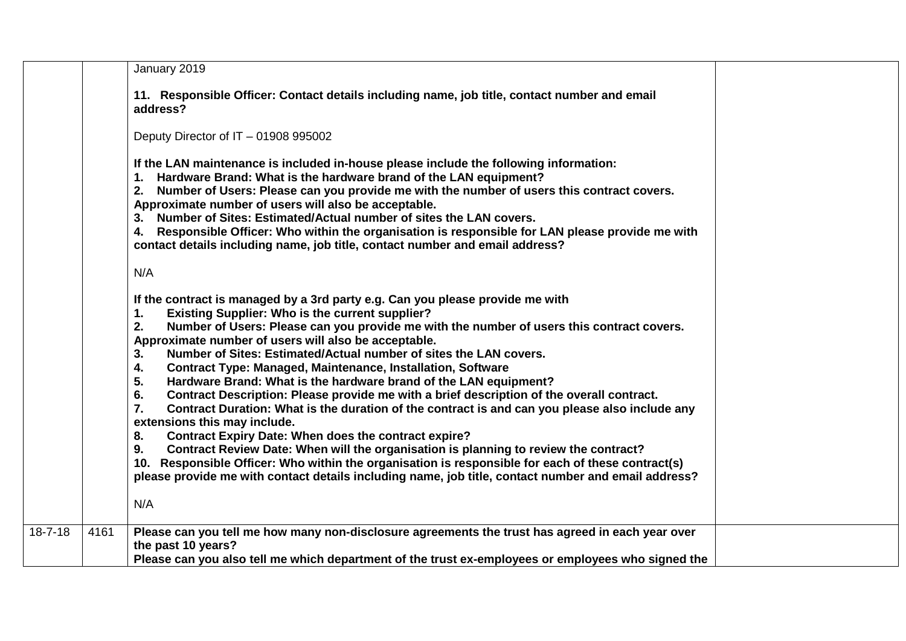|               |      | January 2019                                                                                                                                                                                                                                                                                                                                                                                                                                                                                                                                                                                                                                                                                                                                                                                                                                                                                                                                                                                                                                                                                                                                                               |
|---------------|------|----------------------------------------------------------------------------------------------------------------------------------------------------------------------------------------------------------------------------------------------------------------------------------------------------------------------------------------------------------------------------------------------------------------------------------------------------------------------------------------------------------------------------------------------------------------------------------------------------------------------------------------------------------------------------------------------------------------------------------------------------------------------------------------------------------------------------------------------------------------------------------------------------------------------------------------------------------------------------------------------------------------------------------------------------------------------------------------------------------------------------------------------------------------------------|
|               |      | 11. Responsible Officer: Contact details including name, job title, contact number and email<br>address?                                                                                                                                                                                                                                                                                                                                                                                                                                                                                                                                                                                                                                                                                                                                                                                                                                                                                                                                                                                                                                                                   |
|               |      | Deputy Director of IT - 01908 995002                                                                                                                                                                                                                                                                                                                                                                                                                                                                                                                                                                                                                                                                                                                                                                                                                                                                                                                                                                                                                                                                                                                                       |
|               |      | If the LAN maintenance is included in-house please include the following information:<br>1. Hardware Brand: What is the hardware brand of the LAN equipment?<br>2. Number of Users: Please can you provide me with the number of users this contract covers.<br>Approximate number of users will also be acceptable.<br>3. Number of Sites: Estimated/Actual number of sites the LAN covers.<br>4. Responsible Officer: Who within the organisation is responsible for LAN please provide me with<br>contact details including name, job title, contact number and email address?                                                                                                                                                                                                                                                                                                                                                                                                                                                                                                                                                                                          |
|               |      | N/A                                                                                                                                                                                                                                                                                                                                                                                                                                                                                                                                                                                                                                                                                                                                                                                                                                                                                                                                                                                                                                                                                                                                                                        |
|               |      | If the contract is managed by a 3rd party e.g. Can you please provide me with<br><b>Existing Supplier: Who is the current supplier?</b><br>1.<br>2.<br>Number of Users: Please can you provide me with the number of users this contract covers.<br>Approximate number of users will also be acceptable.<br>Number of Sites: Estimated/Actual number of sites the LAN covers.<br>3.<br>4.<br><b>Contract Type: Managed, Maintenance, Installation, Software</b><br>5.<br>Hardware Brand: What is the hardware brand of the LAN equipment?<br>Contract Description: Please provide me with a brief description of the overall contract.<br>6.<br>7.<br>Contract Duration: What is the duration of the contract is and can you please also include any<br>extensions this may include.<br><b>Contract Expiry Date: When does the contract expire?</b><br>8.<br>Contract Review Date: When will the organisation is planning to review the contract?<br>9.<br>10. Responsible Officer: Who within the organisation is responsible for each of these contract(s)<br>please provide me with contact details including name, job title, contact number and email address?<br>N/A |
| $18 - 7 - 18$ | 4161 | Please can you tell me how many non-disclosure agreements the trust has agreed in each year over                                                                                                                                                                                                                                                                                                                                                                                                                                                                                                                                                                                                                                                                                                                                                                                                                                                                                                                                                                                                                                                                           |
|               |      | the past 10 years?<br>Please can you also tell me which department of the trust ex-employees or employees who signed the                                                                                                                                                                                                                                                                                                                                                                                                                                                                                                                                                                                                                                                                                                                                                                                                                                                                                                                                                                                                                                                   |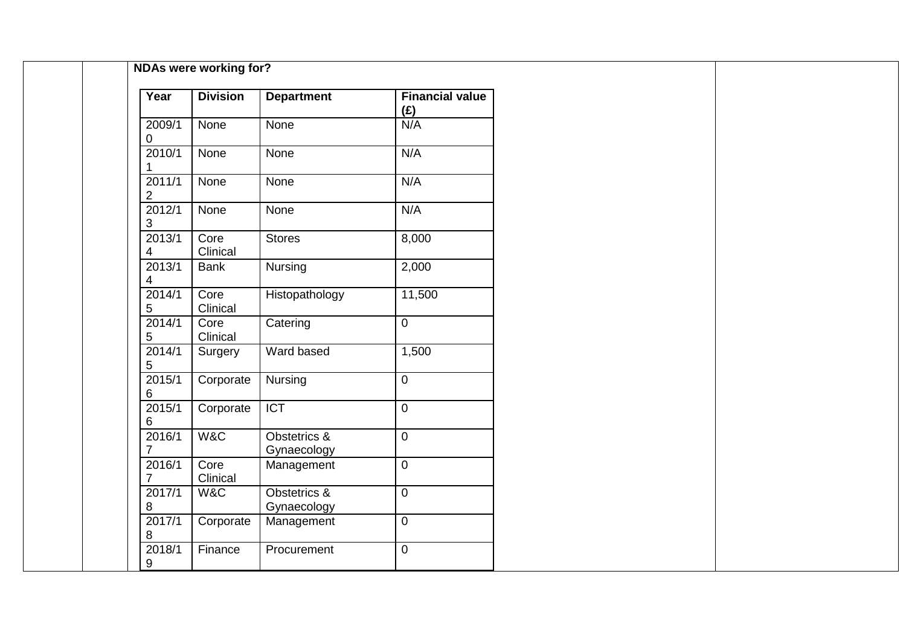| Year                       | <b>Division</b>  | <b>Department</b>           | <b>Financial value</b><br>(E) |
|----------------------------|------------------|-----------------------------|-------------------------------|
| 2009/1<br>0                | None             | None                        | N/A                           |
| 2010/1                     | None             | None                        | N/A                           |
| 2011/1<br>$\boldsymbol{2}$ | None             | None                        | N/A                           |
| 2012/1<br>$\sqrt{3}$       | None             | None                        | N/A                           |
| 2013/1<br>4                | Core<br>Clinical | <b>Stores</b>               | 8,000                         |
| 2013/1<br>4                | Bank             | Nursing                     | 2,000                         |
| 2014/1<br>5                | Core<br>Clinical | Histopathology              | 11,500                        |
| 2014/1<br>$\sqrt{5}$       | Core<br>Clinical | Catering                    | $\overline{0}$                |
| 2014/1<br>5                | Surgery          | Ward based                  | 1,500                         |
| 2015/1<br>6                | Corporate        | Nursing                     | $\boldsymbol{0}$              |
| 2015/1<br>6                | Corporate        | <b>ICT</b>                  | $\mathbf 0$                   |
| 2016/1<br>$\overline{7}$   | W&C              | Obstetrics &<br>Gynaecology | $\overline{0}$                |
| 2016/1<br>$\overline{7}$   | Core<br>Clinical | Management                  | $\boldsymbol{0}$              |
| 2017/1<br>$\bf 8$          | W&C              | Obstetrics &<br>Gynaecology | $\overline{0}$                |
| 2017/1<br>$\bf 8$          | Corporate        | Management                  | $\overline{0}$                |
| 2018/1<br>9                | Finance          | Procurement                 | $\boldsymbol{0}$              |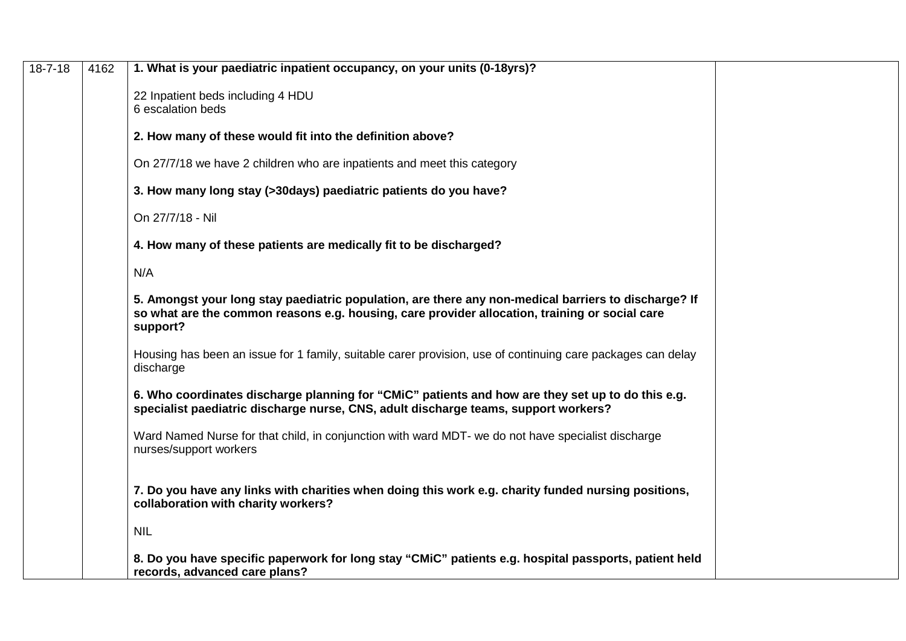| $18 - 7 - 18$ | 4162 | 1. What is your paediatric inpatient occupancy, on your units (0-18yrs)?                                                                                                                                           |
|---------------|------|--------------------------------------------------------------------------------------------------------------------------------------------------------------------------------------------------------------------|
|               |      | 22 Inpatient beds including 4 HDU                                                                                                                                                                                  |
|               |      | 6 escalation beds                                                                                                                                                                                                  |
|               |      | 2. How many of these would fit into the definition above?                                                                                                                                                          |
|               |      | On 27/7/18 we have 2 children who are inpatients and meet this category                                                                                                                                            |
|               |      | 3. How many long stay (>30days) paediatric patients do you have?                                                                                                                                                   |
|               |      | On 27/7/18 - Nil                                                                                                                                                                                                   |
|               |      | 4. How many of these patients are medically fit to be discharged?                                                                                                                                                  |
|               |      | N/A                                                                                                                                                                                                                |
|               |      | 5. Amongst your long stay paediatric population, are there any non-medical barriers to discharge? If<br>so what are the common reasons e.g. housing, care provider allocation, training or social care<br>support? |
|               |      | Housing has been an issue for 1 family, suitable carer provision, use of continuing care packages can delay<br>discharge                                                                                           |
|               |      | 6. Who coordinates discharge planning for "CMiC" patients and how are they set up to do this e.g.<br>specialist paediatric discharge nurse, CNS, adult discharge teams, support workers?                           |
|               |      | Ward Named Nurse for that child, in conjunction with ward MDT- we do not have specialist discharge<br>nurses/support workers                                                                                       |
|               |      | 7. Do you have any links with charities when doing this work e.g. charity funded nursing positions,<br>collaboration with charity workers?                                                                         |
|               |      | <b>NIL</b>                                                                                                                                                                                                         |
|               |      | 8. Do you have specific paperwork for long stay "CMiC" patients e.g. hospital passports, patient held<br>records, advanced care plans?                                                                             |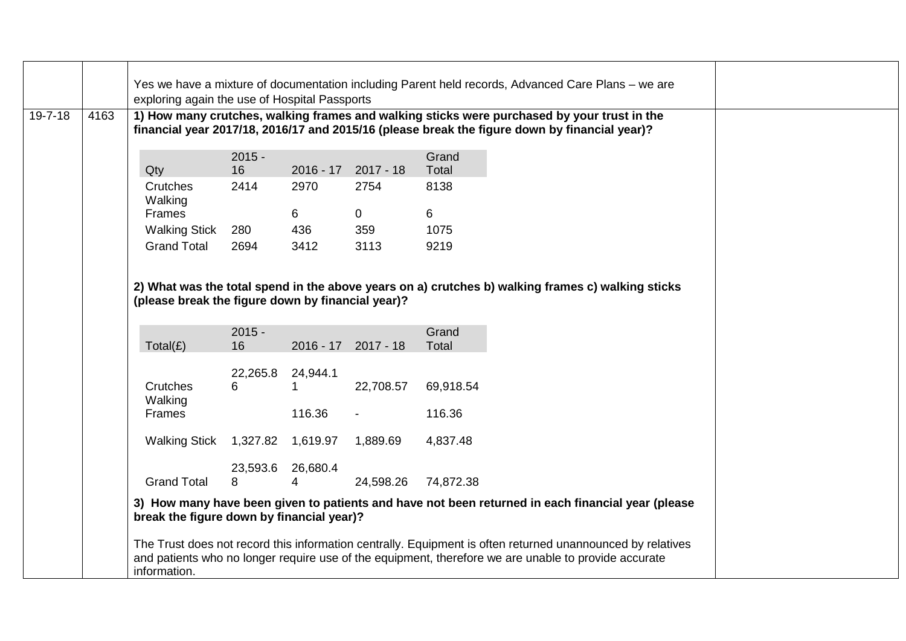|               |      | Yes we have a mixture of documentation including Parent held records, Advanced Care Plans - we are                                                                                                                                 |                |             |                     |                |  |  |  |  |  |  |
|---------------|------|------------------------------------------------------------------------------------------------------------------------------------------------------------------------------------------------------------------------------------|----------------|-------------|---------------------|----------------|--|--|--|--|--|--|
|               |      | exploring again the use of Hospital Passports                                                                                                                                                                                      |                |             |                     |                |  |  |  |  |  |  |
| $19 - 7 - 18$ | 4163 | 1) How many crutches, walking frames and walking sticks were purchased by your trust in the<br>financial year 2017/18, 2016/17 and 2015/16 (please break the figure down by financial year)?                                       |                |             |                     |                |  |  |  |  |  |  |
|               |      | Qty                                                                                                                                                                                                                                | $2015 -$<br>16 | $2016 - 17$ | $2017 - 18$         | Grand<br>Total |  |  |  |  |  |  |
|               |      | Crutches<br>Walking                                                                                                                                                                                                                | 2414           | 2970        | 2754                | 8138           |  |  |  |  |  |  |
|               |      | Frames                                                                                                                                                                                                                             |                | 6           | $\overline{0}$      | 6              |  |  |  |  |  |  |
|               |      | <b>Walking Stick</b>                                                                                                                                                                                                               | 280            | 436         | 359                 | 1075           |  |  |  |  |  |  |
|               |      | <b>Grand Total</b>                                                                                                                                                                                                                 | 2694           | 3412        | 3113                | 9219           |  |  |  |  |  |  |
|               |      | 2) What was the total spend in the above years on a) crutches b) walking frames c) walking sticks<br>(please break the figure down by financial year)?                                                                             |                |             |                     |                |  |  |  |  |  |  |
|               |      | Total(E)                                                                                                                                                                                                                           | $2015 -$<br>16 |             | 2016 - 17 2017 - 18 | Grand<br>Total |  |  |  |  |  |  |
|               |      |                                                                                                                                                                                                                                    | 22,265.8       | 24,944.1    |                     |                |  |  |  |  |  |  |
|               |      | Crutches<br>Walking                                                                                                                                                                                                                | 6              | 1           | 22,708.57           | 69,918.54      |  |  |  |  |  |  |
|               |      | Frames                                                                                                                                                                                                                             |                | 116.36      |                     | 116.36         |  |  |  |  |  |  |
|               |      | <b>Walking Stick</b>                                                                                                                                                                                                               | 1,327.82       | 1,619.97    | 1,889.69            | 4,837.48       |  |  |  |  |  |  |
|               |      |                                                                                                                                                                                                                                    | 23,593.6       | 26,680.4    |                     |                |  |  |  |  |  |  |
|               |      | <b>Grand Total</b>                                                                                                                                                                                                                 | 8              | 4           | 24,598.26           | 74,872.38      |  |  |  |  |  |  |
|               |      | 3) How many have been given to patients and have not been returned in each financial year (please<br>break the figure down by financial year)?                                                                                     |                |             |                     |                |  |  |  |  |  |  |
|               |      | The Trust does not record this information centrally. Equipment is often returned unannounced by relatives<br>and patients who no longer require use of the equipment, therefore we are unable to provide accurate<br>information. |                |             |                     |                |  |  |  |  |  |  |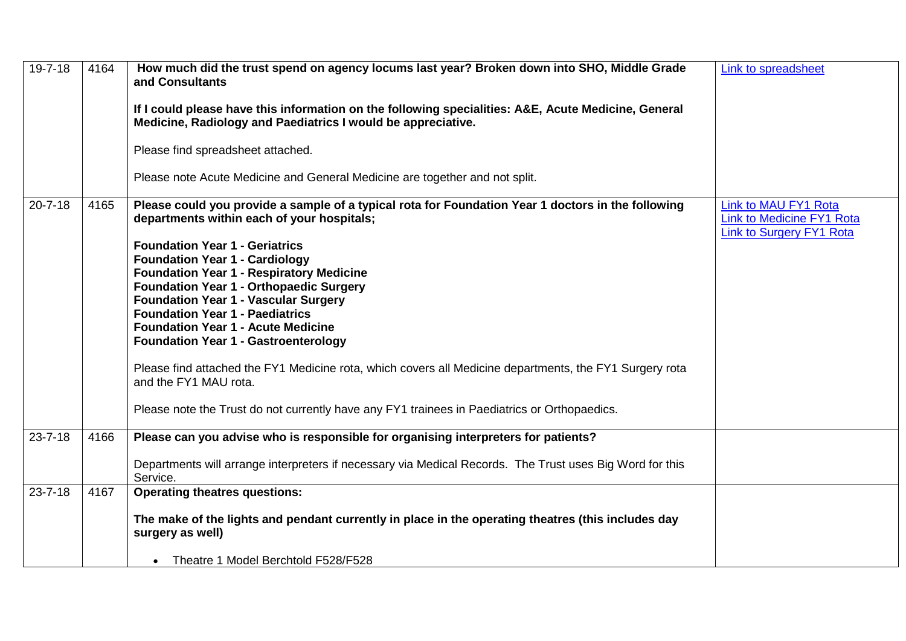| 19-7-18       | 4164 | How much did the trust spend on agency locums last year? Broken down into SHO, Middle Grade<br>and Consultants<br>If I could please have this information on the following specialities: A&E, Acute Medicine, General<br>Medicine, Radiology and Paediatrics I would be appreciative.<br>Please find spreadsheet attached.<br>Please note Acute Medicine and General Medicine are together and not split.                                                                                                                                                                                                                                                                                                                                                        | Link to spreadsheet                                                                                |
|---------------|------|------------------------------------------------------------------------------------------------------------------------------------------------------------------------------------------------------------------------------------------------------------------------------------------------------------------------------------------------------------------------------------------------------------------------------------------------------------------------------------------------------------------------------------------------------------------------------------------------------------------------------------------------------------------------------------------------------------------------------------------------------------------|----------------------------------------------------------------------------------------------------|
| $20 - 7 - 18$ | 4165 | Please could you provide a sample of a typical rota for Foundation Year 1 doctors in the following<br>departments within each of your hospitals;<br><b>Foundation Year 1 - Geriatrics</b><br><b>Foundation Year 1 - Cardiology</b><br><b>Foundation Year 1 - Respiratory Medicine</b><br><b>Foundation Year 1 - Orthopaedic Surgery</b><br><b>Foundation Year 1 - Vascular Surgery</b><br><b>Foundation Year 1 - Paediatrics</b><br><b>Foundation Year 1 - Acute Medicine</b><br><b>Foundation Year 1 - Gastroenterology</b><br>Please find attached the FY1 Medicine rota, which covers all Medicine departments, the FY1 Surgery rota<br>and the FY1 MAU rota.<br>Please note the Trust do not currently have any FY1 trainees in Paediatrics or Orthopaedics. | <b>Link to MAU FY1 Rota</b><br><b>Link to Medicine FY1 Rota</b><br><b>Link to Surgery FY1 Rota</b> |
| $23 - 7 - 18$ | 4166 | Please can you advise who is responsible for organising interpreters for patients?<br>Departments will arrange interpreters if necessary via Medical Records. The Trust uses Big Word for this<br>Service.                                                                                                                                                                                                                                                                                                                                                                                                                                                                                                                                                       |                                                                                                    |
| $23 - 7 - 18$ | 4167 | <b>Operating theatres questions:</b><br>The make of the lights and pendant currently in place in the operating theatres (this includes day<br>surgery as well)<br>• Theatre 1 Model Berchtold F528/F528                                                                                                                                                                                                                                                                                                                                                                                                                                                                                                                                                          |                                                                                                    |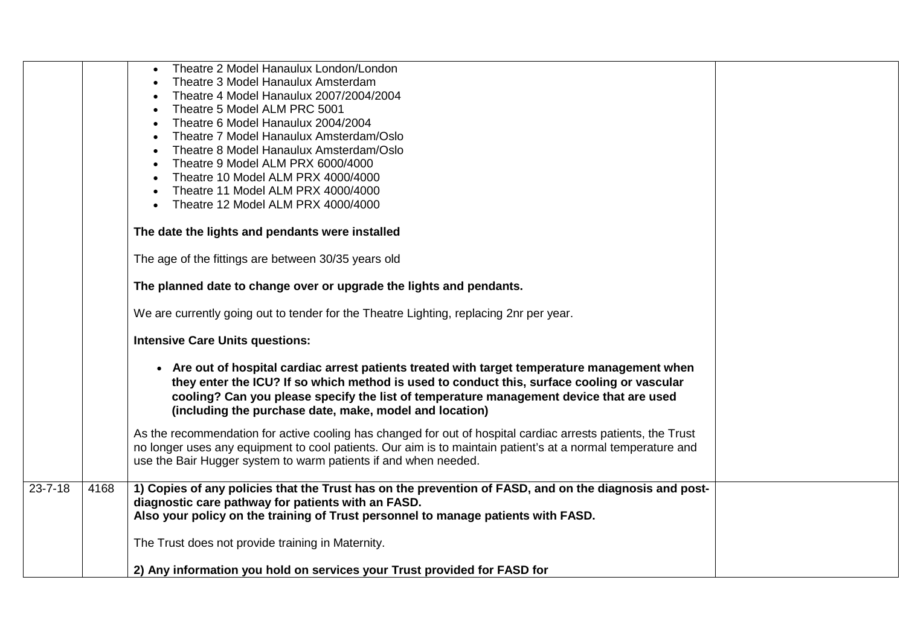|               |      | Theatre 2 Model Hanaulux London/London<br>Theatre 3 Model Hanaulux Amsterdam<br>Theatre 4 Model Hanaulux 2007/2004/2004<br>Theatre 5 Model ALM PRC 5001                                                                                                                                                                                            |  |
|---------------|------|----------------------------------------------------------------------------------------------------------------------------------------------------------------------------------------------------------------------------------------------------------------------------------------------------------------------------------------------------|--|
|               |      | Theatre 6 Model Hanaulux 2004/2004<br>Theatre 7 Model Hanaulux Amsterdam/Oslo<br>Theatre 8 Model Hanaulux Amsterdam/Oslo<br>Theatre 9 Model ALM PRX 6000/4000<br>Theatre 10 Model ALM PRX 4000/4000<br>Theatre 11 Model ALM PRX 4000/4000                                                                                                          |  |
|               |      | Theatre 12 Model ALM PRX 4000/4000<br>The date the lights and pendants were installed                                                                                                                                                                                                                                                              |  |
|               |      | The age of the fittings are between 30/35 years old                                                                                                                                                                                                                                                                                                |  |
|               |      | The planned date to change over or upgrade the lights and pendants.                                                                                                                                                                                                                                                                                |  |
|               |      | We are currently going out to tender for the Theatre Lighting, replacing 2nr per year.                                                                                                                                                                                                                                                             |  |
|               |      | <b>Intensive Care Units questions:</b>                                                                                                                                                                                                                                                                                                             |  |
|               |      | • Are out of hospital cardiac arrest patients treated with target temperature management when<br>they enter the ICU? If so which method is used to conduct this, surface cooling or vascular<br>cooling? Can you please specify the list of temperature management device that are used<br>(including the purchase date, make, model and location) |  |
|               |      | As the recommendation for active cooling has changed for out of hospital cardiac arrests patients, the Trust<br>no longer uses any equipment to cool patients. Our aim is to maintain patient's at a normal temperature and<br>use the Bair Hugger system to warm patients if and when needed.                                                     |  |
| $23 - 7 - 18$ | 4168 | 1) Copies of any policies that the Trust has on the prevention of FASD, and on the diagnosis and post-<br>diagnostic care pathway for patients with an FASD.<br>Also your policy on the training of Trust personnel to manage patients with FASD.                                                                                                  |  |
|               |      | The Trust does not provide training in Maternity.                                                                                                                                                                                                                                                                                                  |  |
|               |      | 2) Any information you hold on services your Trust provided for FASD for                                                                                                                                                                                                                                                                           |  |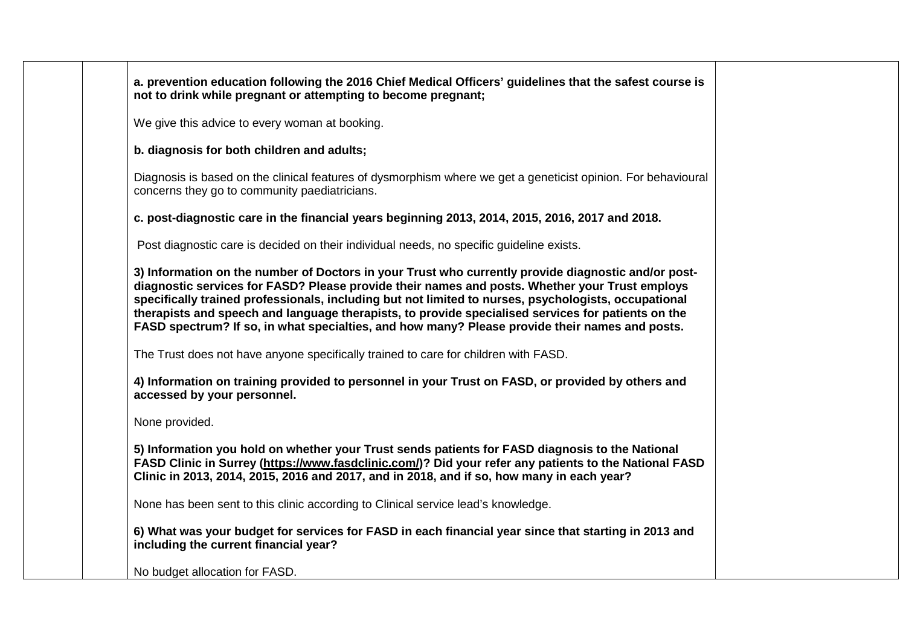| a. prevention education following the 2016 Chief Medical Officers' guidelines that the safest course is<br>not to drink while pregnant or attempting to become pregnant;                                                                                                                                                                                                                                                                                                                                              |
|-----------------------------------------------------------------------------------------------------------------------------------------------------------------------------------------------------------------------------------------------------------------------------------------------------------------------------------------------------------------------------------------------------------------------------------------------------------------------------------------------------------------------|
| We give this advice to every woman at booking.                                                                                                                                                                                                                                                                                                                                                                                                                                                                        |
| b. diagnosis for both children and adults;                                                                                                                                                                                                                                                                                                                                                                                                                                                                            |
| Diagnosis is based on the clinical features of dysmorphism where we get a geneticist opinion. For behavioural<br>concerns they go to community paediatricians.                                                                                                                                                                                                                                                                                                                                                        |
| c. post-diagnostic care in the financial years beginning 2013, 2014, 2015, 2016, 2017 and 2018.                                                                                                                                                                                                                                                                                                                                                                                                                       |
| Post diagnostic care is decided on their individual needs, no specific guideline exists.                                                                                                                                                                                                                                                                                                                                                                                                                              |
| 3) Information on the number of Doctors in your Trust who currently provide diagnostic and/or post-<br>diagnostic services for FASD? Please provide their names and posts. Whether your Trust employs<br>specifically trained professionals, including but not limited to nurses, psychologists, occupational<br>therapists and speech and language therapists, to provide specialised services for patients on the<br>FASD spectrum? If so, in what specialties, and how many? Please provide their names and posts. |
| The Trust does not have anyone specifically trained to care for children with FASD.                                                                                                                                                                                                                                                                                                                                                                                                                                   |
| 4) Information on training provided to personnel in your Trust on FASD, or provided by others and<br>accessed by your personnel.                                                                                                                                                                                                                                                                                                                                                                                      |
| None provided.                                                                                                                                                                                                                                                                                                                                                                                                                                                                                                        |
| 5) Information you hold on whether your Trust sends patients for FASD diagnosis to the National<br>FASD Clinic in Surrey (https://www.fasdclinic.com/)? Did your refer any patients to the National FASD<br>Clinic in 2013, 2014, 2015, 2016 and 2017, and in 2018, and if so, how many in each year?                                                                                                                                                                                                                 |
| None has been sent to this clinic according to Clinical service lead's knowledge.                                                                                                                                                                                                                                                                                                                                                                                                                                     |
| 6) What was your budget for services for FASD in each financial year since that starting in 2013 and<br>including the current financial year?                                                                                                                                                                                                                                                                                                                                                                         |
| No budget allocation for FASD.                                                                                                                                                                                                                                                                                                                                                                                                                                                                                        |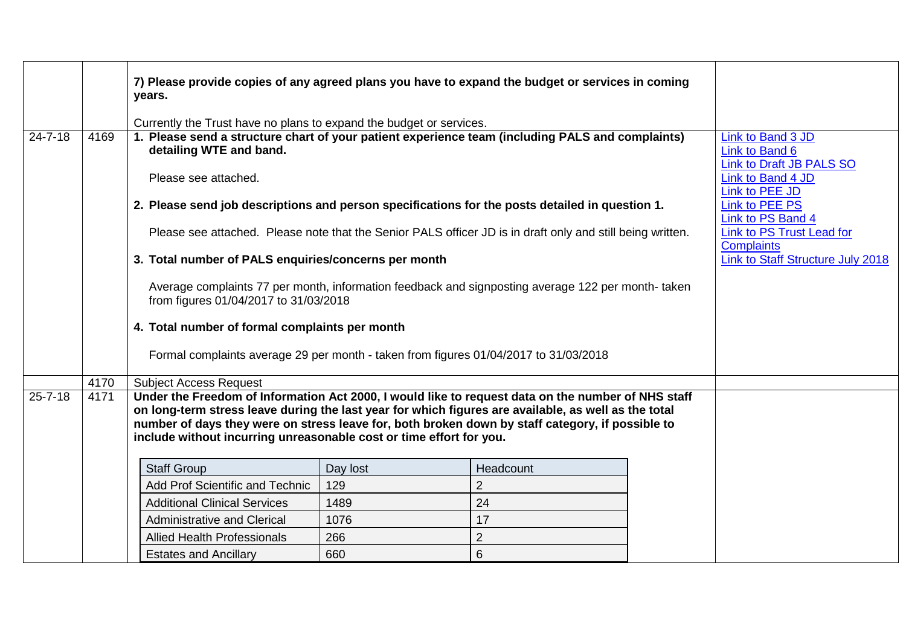|               |      | 7) Please provide copies of any agreed plans you have to expand the budget or services in coming<br>years.                                                                                                                                                                                                                                                                            |                                                                                                                                            |                                                                                                            |  |                                                                 |  |  |  |
|---------------|------|---------------------------------------------------------------------------------------------------------------------------------------------------------------------------------------------------------------------------------------------------------------------------------------------------------------------------------------------------------------------------------------|--------------------------------------------------------------------------------------------------------------------------------------------|------------------------------------------------------------------------------------------------------------|--|-----------------------------------------------------------------|--|--|--|
|               |      | Currently the Trust have no plans to expand the budget or services.                                                                                                                                                                                                                                                                                                                   |                                                                                                                                            |                                                                                                            |  |                                                                 |  |  |  |
| $24 - 7 - 18$ | 4169 | 1. Please send a structure chart of your patient experience team (including PALS and complaints)<br>detailing WTE and band.                                                                                                                                                                                                                                                           |                                                                                                                                            |                                                                                                            |  | Link to Band 3 JD<br>Link to Band 6<br>Link to Draft JB PALS SO |  |  |  |
|               |      | Please see attached.                                                                                                                                                                                                                                                                                                                                                                  |                                                                                                                                            |                                                                                                            |  | Link to Band 4 JD<br>Link to PEE JD                             |  |  |  |
|               |      | 2. Please send job descriptions and person specifications for the posts detailed in question 1.                                                                                                                                                                                                                                                                                       |                                                                                                                                            |                                                                                                            |  | Link to PEE PS<br>Link to PS Band 4                             |  |  |  |
|               |      |                                                                                                                                                                                                                                                                                                                                                                                       |                                                                                                                                            | Please see attached. Please note that the Senior PALS officer JD is in draft only and still being written. |  | Link to PS Trust Lead for<br><b>Complaints</b>                  |  |  |  |
|               |      | 3. Total number of PALS enquiries/concerns per month                                                                                                                                                                                                                                                                                                                                  |                                                                                                                                            |                                                                                                            |  | Link to Staff Structure July 2018                               |  |  |  |
|               |      |                                                                                                                                                                                                                                                                                                                                                                                       | Average complaints 77 per month, information feedback and signposting average 122 per month-taken<br>from figures 01/04/2017 to 31/03/2018 |                                                                                                            |  |                                                                 |  |  |  |
|               |      | 4. Total number of formal complaints per month                                                                                                                                                                                                                                                                                                                                        |                                                                                                                                            |                                                                                                            |  |                                                                 |  |  |  |
|               |      | Formal complaints average 29 per month - taken from figures 01/04/2017 to 31/03/2018                                                                                                                                                                                                                                                                                                  |                                                                                                                                            |                                                                                                            |  |                                                                 |  |  |  |
|               | 4170 | <b>Subject Access Request</b>                                                                                                                                                                                                                                                                                                                                                         |                                                                                                                                            |                                                                                                            |  |                                                                 |  |  |  |
| $25 - 7 - 18$ | 4171 | Under the Freedom of Information Act 2000, I would like to request data on the number of NHS staff<br>on long-term stress leave during the last year for which figures are available, as well as the total<br>number of days they were on stress leave for, both broken down by staff category, if possible to<br>include without incurring unreasonable cost or time effort for you. |                                                                                                                                            |                                                                                                            |  |                                                                 |  |  |  |
|               |      | <b>Staff Group</b>                                                                                                                                                                                                                                                                                                                                                                    | Day lost                                                                                                                                   | Headcount                                                                                                  |  |                                                                 |  |  |  |
|               |      | Add Prof Scientific and Technic                                                                                                                                                                                                                                                                                                                                                       | 129                                                                                                                                        | $\overline{2}$                                                                                             |  |                                                                 |  |  |  |
|               |      | <b>Additional Clinical Services</b>                                                                                                                                                                                                                                                                                                                                                   | 1489                                                                                                                                       | 24                                                                                                         |  |                                                                 |  |  |  |
|               |      | <b>Administrative and Clerical</b>                                                                                                                                                                                                                                                                                                                                                    | 1076                                                                                                                                       | 17                                                                                                         |  |                                                                 |  |  |  |
|               |      | <b>Allied Health Professionals</b>                                                                                                                                                                                                                                                                                                                                                    | 266                                                                                                                                        | $\overline{2}$                                                                                             |  |                                                                 |  |  |  |
|               |      | <b>Estates and Ancillary</b>                                                                                                                                                                                                                                                                                                                                                          | 660                                                                                                                                        | $6\phantom{1}$                                                                                             |  |                                                                 |  |  |  |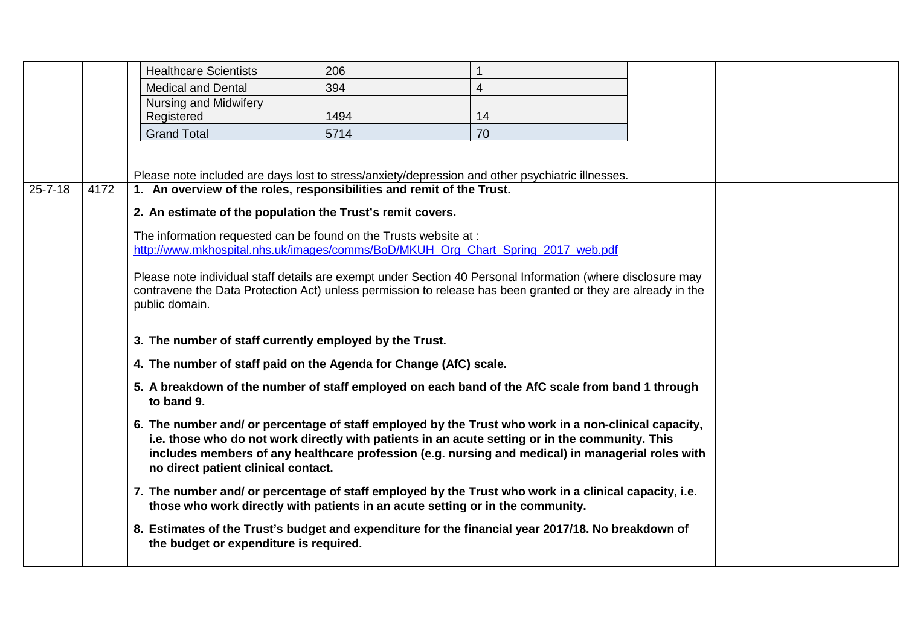|               |      | <b>Healthcare Scientists</b>                                                                                                                                                                                                                  | 206  |                                                                                                                                                                                                      |  |
|---------------|------|-----------------------------------------------------------------------------------------------------------------------------------------------------------------------------------------------------------------------------------------------|------|------------------------------------------------------------------------------------------------------------------------------------------------------------------------------------------------------|--|
|               |      | <b>Medical and Dental</b>                                                                                                                                                                                                                     | 394  | $\overline{4}$                                                                                                                                                                                       |  |
|               |      | Nursing and Midwifery<br>Registered                                                                                                                                                                                                           | 1494 | 14                                                                                                                                                                                                   |  |
|               |      | <b>Grand Total</b>                                                                                                                                                                                                                            | 5714 | 70                                                                                                                                                                                                   |  |
|               |      |                                                                                                                                                                                                                                               |      |                                                                                                                                                                                                      |  |
|               |      | Please note included are days lost to stress/anxiety/depression and other psychiatric illnesses.                                                                                                                                              |      |                                                                                                                                                                                                      |  |
| $25 - 7 - 18$ | 4172 | 1. An overview of the roles, responsibilities and remit of the Trust.                                                                                                                                                                         |      |                                                                                                                                                                                                      |  |
|               |      | 2. An estimate of the population the Trust's remit covers.                                                                                                                                                                                    |      |                                                                                                                                                                                                      |  |
|               |      |                                                                                                                                                                                                                                               |      |                                                                                                                                                                                                      |  |
|               |      | The information requested can be found on the Trusts website at :<br>http://www.mkhospital.nhs.uk/images/comms/BoD/MKUH_Org_Chart_Spring_2017_web.pdf                                                                                         |      |                                                                                                                                                                                                      |  |
|               |      |                                                                                                                                                                                                                                               |      |                                                                                                                                                                                                      |  |
|               |      | Please note individual staff details are exempt under Section 40 Personal Information (where disclosure may<br>contravene the Data Protection Act) unless permission to release has been granted or they are already in the<br>public domain. |      |                                                                                                                                                                                                      |  |
|               |      | 3. The number of staff currently employed by the Trust.                                                                                                                                                                                       |      |                                                                                                                                                                                                      |  |
|               |      | 4. The number of staff paid on the Agenda for Change (AfC) scale.                                                                                                                                                                             |      |                                                                                                                                                                                                      |  |
|               |      | 5. A breakdown of the number of staff employed on each band of the AfC scale from band 1 through<br>to band 9.                                                                                                                                |      |                                                                                                                                                                                                      |  |
|               |      | 6. The number and/ or percentage of staff employed by the Trust who work in a non-clinical capacity,<br>no direct patient clinical contact.                                                                                                   |      | i.e. those who do not work directly with patients in an acute setting or in the community. This<br>includes members of any healthcare profession (e.g. nursing and medical) in managerial roles with |  |
|               |      | 7. The number and/ or percentage of staff employed by the Trust who work in a clinical capacity, i.e.                                                                                                                                         |      | those who work directly with patients in an acute setting or in the community.                                                                                                                       |  |
|               |      | 8. Estimates of the Trust's budget and expenditure for the financial year 2017/18. No breakdown of<br>the budget or expenditure is required.                                                                                                  |      |                                                                                                                                                                                                      |  |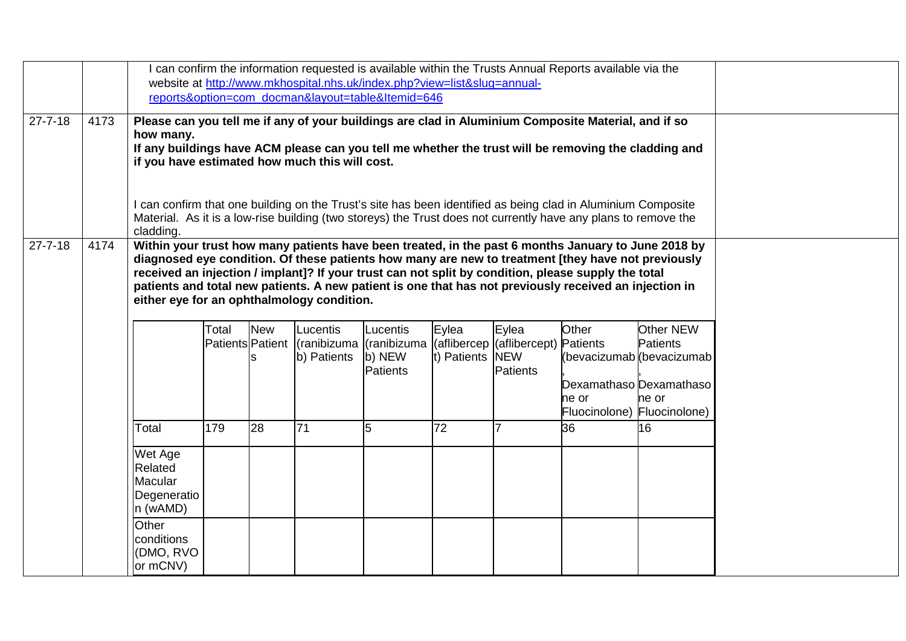|               |      |                                                                                                                                                                                                           |       |            |                                                                                                    |                 |             |                 | I can confirm the information requested is available within the Trusts Annual Reports available via the                                                                                                                        |                           |  |  |
|---------------|------|-----------------------------------------------------------------------------------------------------------------------------------------------------------------------------------------------------------|-------|------------|----------------------------------------------------------------------------------------------------|-----------------|-------------|-----------------|--------------------------------------------------------------------------------------------------------------------------------------------------------------------------------------------------------------------------------|---------------------------|--|--|
|               |      | website at http://www.mkhospital.nhs.uk/index.php?view=list&slug=annual-<br>reports&option=com docman&layout=table&Itemid=646                                                                             |       |            |                                                                                                    |                 |             |                 |                                                                                                                                                                                                                                |                           |  |  |
|               |      |                                                                                                                                                                                                           |       |            |                                                                                                    |                 |             |                 |                                                                                                                                                                                                                                |                           |  |  |
| $27 - 7 - 18$ | 4173 |                                                                                                                                                                                                           |       |            |                                                                                                    |                 |             |                 | Please can you tell me if any of your buildings are clad in Aluminium Composite Material, and if so                                                                                                                            |                           |  |  |
|               |      | how many.                                                                                                                                                                                                 |       |            |                                                                                                    |                 |             |                 |                                                                                                                                                                                                                                |                           |  |  |
|               |      | if you have estimated how much this will cost.                                                                                                                                                            |       |            |                                                                                                    |                 |             |                 | If any buildings have ACM please can you tell me whether the trust will be removing the cladding and                                                                                                                           |                           |  |  |
|               |      |                                                                                                                                                                                                           |       |            |                                                                                                    |                 |             |                 |                                                                                                                                                                                                                                |                           |  |  |
|               |      |                                                                                                                                                                                                           |       |            |                                                                                                    |                 |             |                 |                                                                                                                                                                                                                                |                           |  |  |
|               |      |                                                                                                                                                                                                           |       |            |                                                                                                    |                 |             |                 | I can confirm that one building on the Trust's site has been identified as being clad in Aluminium Composite<br>Material. As it is a low-rise building (two storeys) the Trust does not currently have any plans to remove the |                           |  |  |
|               |      | cladding.                                                                                                                                                                                                 |       |            |                                                                                                    |                 |             |                 |                                                                                                                                                                                                                                |                           |  |  |
| $27 - 7 - 18$ | 4174 |                                                                                                                                                                                                           |       |            |                                                                                                    |                 |             |                 | Within your trust how many patients have been treated, in the past 6 months January to June 2018 by                                                                                                                            |                           |  |  |
|               |      | diagnosed eye condition. Of these patients how many are new to treatment [they have not previously<br>received an injection / implant]? If your trust can not split by condition, please supply the total |       |            |                                                                                                    |                 |             |                 |                                                                                                                                                                                                                                |                           |  |  |
|               |      |                                                                                                                                                                                                           |       |            |                                                                                                    |                 |             |                 | patients and total new patients. A new patient is one that has not previously received an injection in                                                                                                                         |                           |  |  |
|               |      | either eye for an ophthalmology condition.                                                                                                                                                                |       |            |                                                                                                    |                 |             |                 |                                                                                                                                                                                                                                |                           |  |  |
|               |      |                                                                                                                                                                                                           |       |            |                                                                                                    |                 |             |                 |                                                                                                                                                                                                                                |                           |  |  |
|               |      |                                                                                                                                                                                                           | Total | <b>New</b> | Lucentis                                                                                           | Lucentis        | Eylea       | Eylea           | Other                                                                                                                                                                                                                          | Other NEW                 |  |  |
|               |      |                                                                                                                                                                                                           |       |            | Patients Patient   (ranibizuma   (ranibizuma   (aflibercep   (aflibercept) Patients<br>b) Patients | b) NEW          | t) Patients | <b>NEW</b>      |                                                                                                                                                                                                                                | <b>Patients</b>           |  |  |
|               |      |                                                                                                                                                                                                           |       |            |                                                                                                    | <b>Patients</b> |             | <b>Patients</b> |                                                                                                                                                                                                                                | (bevacizumab (bevacizumab |  |  |
|               |      |                                                                                                                                                                                                           |       |            |                                                                                                    |                 |             |                 | Dexamathaso Dexamathaso                                                                                                                                                                                                        |                           |  |  |
|               |      |                                                                                                                                                                                                           |       |            |                                                                                                    |                 |             |                 | ne or                                                                                                                                                                                                                          | ne or                     |  |  |
|               |      |                                                                                                                                                                                                           |       |            |                                                                                                    |                 |             |                 | Fluocinolone) Fluocinolone)                                                                                                                                                                                                    |                           |  |  |
|               |      | Total                                                                                                                                                                                                     | 179   | 28         | 71                                                                                                 | 5               | 72          |                 | 36                                                                                                                                                                                                                             | 16                        |  |  |
|               |      | Wet Age                                                                                                                                                                                                   |       |            |                                                                                                    |                 |             |                 |                                                                                                                                                                                                                                |                           |  |  |
|               |      | Related                                                                                                                                                                                                   |       |            |                                                                                                    |                 |             |                 |                                                                                                                                                                                                                                |                           |  |  |
|               |      | Macular                                                                                                                                                                                                   |       |            |                                                                                                    |                 |             |                 |                                                                                                                                                                                                                                |                           |  |  |
|               |      | Degeneratio<br>n (wAMD)                                                                                                                                                                                   |       |            |                                                                                                    |                 |             |                 |                                                                                                                                                                                                                                |                           |  |  |
|               |      | Other                                                                                                                                                                                                     |       |            |                                                                                                    |                 |             |                 |                                                                                                                                                                                                                                |                           |  |  |
|               |      | conditions                                                                                                                                                                                                |       |            |                                                                                                    |                 |             |                 |                                                                                                                                                                                                                                |                           |  |  |
|               |      | (DMO, RVO                                                                                                                                                                                                 |       |            |                                                                                                    |                 |             |                 |                                                                                                                                                                                                                                |                           |  |  |
|               |      | or mCNV)                                                                                                                                                                                                  |       |            |                                                                                                    |                 |             |                 |                                                                                                                                                                                                                                |                           |  |  |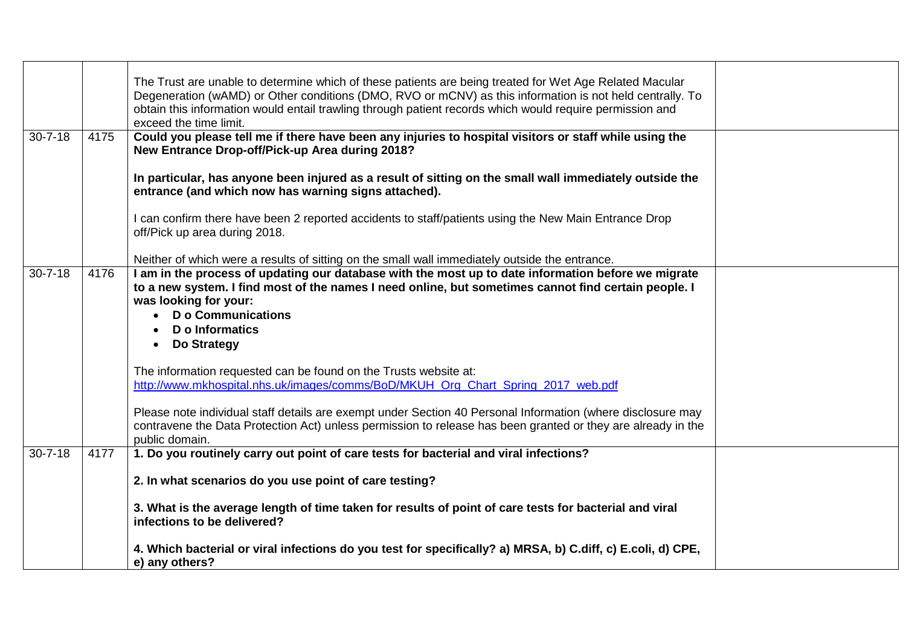|               |      | The Trust are unable to determine which of these patients are being treated for Wet Age Related Macular                                                         |  |
|---------------|------|-----------------------------------------------------------------------------------------------------------------------------------------------------------------|--|
|               |      | Degeneration (wAMD) or Other conditions (DMO, RVO or mCNV) as this information is not held centrally. To                                                        |  |
|               |      | obtain this information would entail trawling through patient records which would require permission and<br>exceed the time limit.                              |  |
| $30 - 7 - 18$ | 4175 | Could you please tell me if there have been any injuries to hospital visitors or staff while using the                                                          |  |
|               |      | New Entrance Drop-off/Pick-up Area during 2018?                                                                                                                 |  |
|               |      | In particular, has anyone been injured as a result of sitting on the small wall immediately outside the<br>entrance (and which now has warning signs attached). |  |
|               |      | I can confirm there have been 2 reported accidents to staff/patients using the New Main Entrance Drop<br>off/Pick up area during 2018.                          |  |
|               |      | Neither of which were a results of sitting on the small wall immediately outside the entrance.                                                                  |  |
| $30 - 7 - 18$ | 4176 | I am in the process of updating our database with the most up to date information before we migrate                                                             |  |
|               |      | to a new system. I find most of the names I need online, but sometimes cannot find certain people. I                                                            |  |
|               |      | was looking for your:                                                                                                                                           |  |
|               |      | <b>D</b> o Communications                                                                                                                                       |  |
|               |      | D o Informatics<br>Do Strategy<br>$\bullet$                                                                                                                     |  |
|               |      |                                                                                                                                                                 |  |
|               |      | The information requested can be found on the Trusts website at:                                                                                                |  |
|               |      | http://www.mkhospital.nhs.uk/images/comms/BoD/MKUH Org Chart Spring 2017 web.pdf                                                                                |  |
|               |      |                                                                                                                                                                 |  |
|               |      | Please note individual staff details are exempt under Section 40 Personal Information (where disclosure may                                                     |  |
|               |      | contravene the Data Protection Act) unless permission to release has been granted or they are already in the<br>public domain.                                  |  |
| $30 - 7 - 18$ | 4177 | 1. Do you routinely carry out point of care tests for bacterial and viral infections?                                                                           |  |
|               |      |                                                                                                                                                                 |  |
|               |      | 2. In what scenarios do you use point of care testing?                                                                                                          |  |
|               |      | 3. What is the average length of time taken for results of point of care tests for bacterial and viral<br>infections to be delivered?                           |  |
|               |      | 4. Which bacterial or viral infections do you test for specifically? a) MRSA, b) C.diff, c) E.coli, d) CPE,<br>e) any others?                                   |  |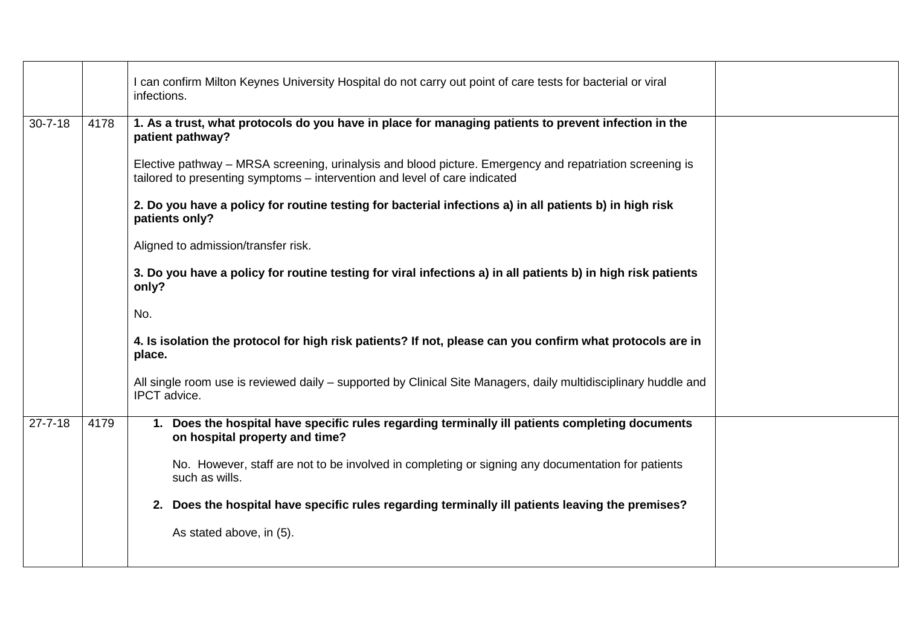|               |      | I can confirm Milton Keynes University Hospital do not carry out point of care tests for bacterial or viral<br>infections.                                                             |  |
|---------------|------|----------------------------------------------------------------------------------------------------------------------------------------------------------------------------------------|--|
| $30 - 7 - 18$ | 4178 | 1. As a trust, what protocols do you have in place for managing patients to prevent infection in the<br>patient pathway?                                                               |  |
|               |      | Elective pathway – MRSA screening, urinalysis and blood picture. Emergency and repatriation screening is<br>tailored to presenting symptoms - intervention and level of care indicated |  |
|               |      | 2. Do you have a policy for routine testing for bacterial infections a) in all patients b) in high risk<br>patients only?                                                              |  |
|               |      | Aligned to admission/transfer risk.                                                                                                                                                    |  |
|               |      | 3. Do you have a policy for routine testing for viral infections a) in all patients b) in high risk patients<br>only?                                                                  |  |
|               |      | No.                                                                                                                                                                                    |  |
|               |      | 4. Is isolation the protocol for high risk patients? If not, please can you confirm what protocols are in<br>place.                                                                    |  |
|               |      | All single room use is reviewed daily - supported by Clinical Site Managers, daily multidisciplinary huddle and<br><b>IPCT</b> advice.                                                 |  |
| $27 - 7 - 18$ | 4179 | 1. Does the hospital have specific rules regarding terminally ill patients completing documents<br>on hospital property and time?                                                      |  |
|               |      | No. However, staff are not to be involved in completing or signing any documentation for patients<br>such as wills.                                                                    |  |
|               |      | 2. Does the hospital have specific rules regarding terminally ill patients leaving the premises?                                                                                       |  |
|               |      | As stated above, in (5).                                                                                                                                                               |  |
|               |      |                                                                                                                                                                                        |  |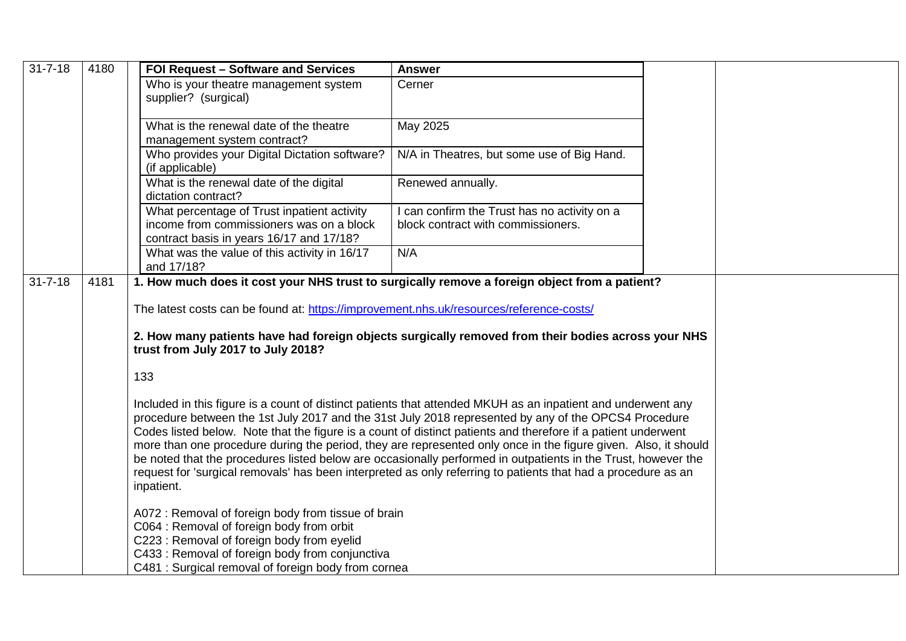| $31 - 7 - 18$ | 4180 | FOI Request - Software and Services                                                                                                                                                                                                                                                                                                                                                                                                                                                                                                                                                                                                                                                                     | <b>Answer</b>                                                                      |  |
|---------------|------|---------------------------------------------------------------------------------------------------------------------------------------------------------------------------------------------------------------------------------------------------------------------------------------------------------------------------------------------------------------------------------------------------------------------------------------------------------------------------------------------------------------------------------------------------------------------------------------------------------------------------------------------------------------------------------------------------------|------------------------------------------------------------------------------------|--|
|               |      | Who is your theatre management system<br>supplier? (surgical)                                                                                                                                                                                                                                                                                                                                                                                                                                                                                                                                                                                                                                           | Cerner                                                                             |  |
|               |      | What is the renewal date of the theatre<br>management system contract?                                                                                                                                                                                                                                                                                                                                                                                                                                                                                                                                                                                                                                  | May 2025                                                                           |  |
|               |      | Who provides your Digital Dictation software?<br>(if applicable)                                                                                                                                                                                                                                                                                                                                                                                                                                                                                                                                                                                                                                        | N/A in Theatres, but some use of Big Hand.                                         |  |
|               |      | What is the renewal date of the digital<br>dictation contract?                                                                                                                                                                                                                                                                                                                                                                                                                                                                                                                                                                                                                                          | Renewed annually.                                                                  |  |
|               |      | What percentage of Trust inpatient activity<br>income from commissioners was on a block<br>contract basis in years 16/17 and 17/18?                                                                                                                                                                                                                                                                                                                                                                                                                                                                                                                                                                     | I can confirm the Trust has no activity on a<br>block contract with commissioners. |  |
|               |      | What was the value of this activity in 16/17<br>and 17/18?                                                                                                                                                                                                                                                                                                                                                                                                                                                                                                                                                                                                                                              | N/A                                                                                |  |
| $31 - 7 - 18$ | 4181 | 1. How much does it cost your NHS trust to surgically remove a foreign object from a patient?                                                                                                                                                                                                                                                                                                                                                                                                                                                                                                                                                                                                           |                                                                                    |  |
|               |      | The latest costs can be found at: https://improvement.nhs.uk/resources/reference-costs/                                                                                                                                                                                                                                                                                                                                                                                                                                                                                                                                                                                                                 |                                                                                    |  |
|               |      | 2. How many patients have had foreign objects surgically removed from their bodies across your NHS<br>trust from July 2017 to July 2018?                                                                                                                                                                                                                                                                                                                                                                                                                                                                                                                                                                |                                                                                    |  |
|               |      | 133                                                                                                                                                                                                                                                                                                                                                                                                                                                                                                                                                                                                                                                                                                     |                                                                                    |  |
|               |      | Included in this figure is a count of distinct patients that attended MKUH as an inpatient and underwent any<br>procedure between the 1st July 2017 and the 31st July 2018 represented by any of the OPCS4 Procedure<br>Codes listed below. Note that the figure is a count of distinct patients and therefore if a patient underwent<br>more than one procedure during the period, they are represented only once in the figure given. Also, it should<br>be noted that the procedures listed below are occasionally performed in outpatients in the Trust, however the<br>request for 'surgical removals' has been interpreted as only referring to patients that had a procedure as an<br>inpatient. |                                                                                    |  |
|               |      | A072 : Removal of foreign body from tissue of brain<br>C064 : Removal of foreign body from orbit<br>C223 : Removal of foreign body from eyelid<br>C433: Removal of foreign body from conjunctiva<br>C481 : Surgical removal of foreign body from cornea                                                                                                                                                                                                                                                                                                                                                                                                                                                 |                                                                                    |  |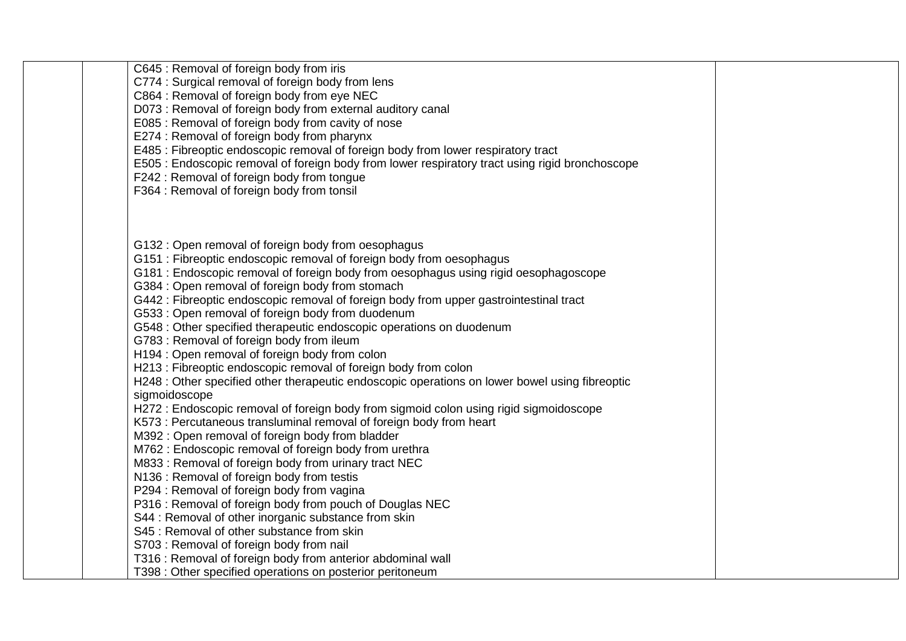| C645 : Removal of foreign body from iris<br>C774 : Surgical removal of foreign body from lens<br>C864 : Removal of foreign body from eye NEC<br>D073 : Removal of foreign body from external auditory canal<br>E085 : Removal of foreign body from cavity of nose<br>E274 : Removal of foreign body from pharynx<br>E485 : Fibreoptic endoscopic removal of foreign body from lower respiratory tract<br>E505 : Endoscopic removal of foreign body from lower respiratory tract using rigid bronchoscope<br>F242 : Removal of foreign body from tongue<br>F364 : Removal of foreign body from tonsil                                                                                                                                                                                                                                                                                                                                                                                                                                                                                                                                                                                                                                                                                                                                                                                                                                                                                                                                                           |  |
|----------------------------------------------------------------------------------------------------------------------------------------------------------------------------------------------------------------------------------------------------------------------------------------------------------------------------------------------------------------------------------------------------------------------------------------------------------------------------------------------------------------------------------------------------------------------------------------------------------------------------------------------------------------------------------------------------------------------------------------------------------------------------------------------------------------------------------------------------------------------------------------------------------------------------------------------------------------------------------------------------------------------------------------------------------------------------------------------------------------------------------------------------------------------------------------------------------------------------------------------------------------------------------------------------------------------------------------------------------------------------------------------------------------------------------------------------------------------------------------------------------------------------------------------------------------|--|
| G132: Open removal of foreign body from oesophagus<br>G151 : Fibreoptic endoscopic removal of foreign body from oesophagus<br>G181 : Endoscopic removal of foreign body from oesophagus using rigid oesophagoscope<br>G384 : Open removal of foreign body from stomach<br>G442 : Fibreoptic endoscopic removal of foreign body from upper gastrointestinal tract<br>G533 : Open removal of foreign body from duodenum<br>G548 : Other specified therapeutic endoscopic operations on duodenum<br>G783 : Removal of foreign body from ileum<br>H194 : Open removal of foreign body from colon<br>H213 : Fibreoptic endoscopic removal of foreign body from colon<br>H248 : Other specified other therapeutic endoscopic operations on lower bowel using fibreoptic<br>sigmoidoscope<br>H272 : Endoscopic removal of foreign body from sigmoid colon using rigid sigmoidoscope<br>K573 : Percutaneous transluminal removal of foreign body from heart<br>M392: Open removal of foreign body from bladder<br>M762 : Endoscopic removal of foreign body from urethra<br>M833: Removal of foreign body from urinary tract NEC<br>N136 : Removal of foreign body from testis<br>P294 : Removal of foreign body from vagina<br>P316 : Removal of foreign body from pouch of Douglas NEC<br>S44 : Removal of other inorganic substance from skin<br>S45 : Removal of other substance from skin<br>S703 : Removal of foreign body from nail<br>T316 : Removal of foreign body from anterior abdominal wall<br>T398 : Other specified operations on posterior peritoneum |  |